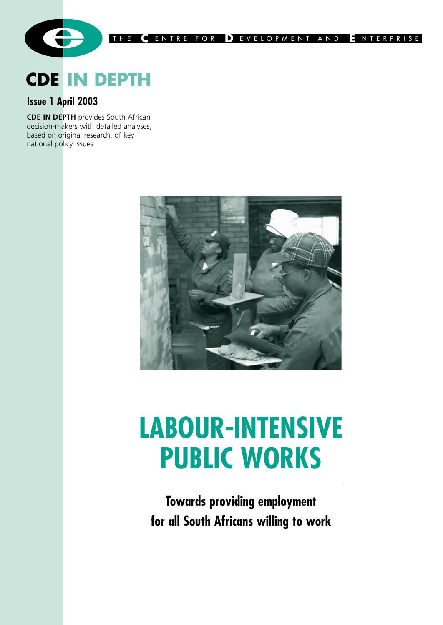

# **CDE IN DEPTH**

# **Issue 1 April 2003**

**CDE IN DEPTH** provides South African decision-makers with detailed analyses, based on original research, of key national policy issues



# **LABOUR-INTENSIVE PUBLIC WORKS**

**Towards providing employment for all South Africans willing to work**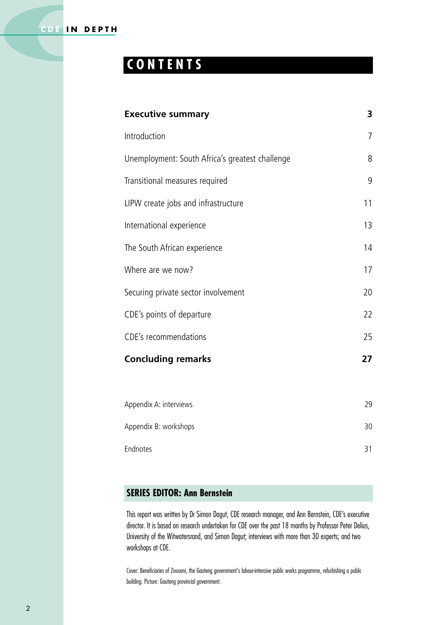# **CONTENTS**

| <b>Executive summary</b>                        | 3  |
|-------------------------------------------------|----|
| Introduction                                    | 7  |
| Unemployment: South Africa's greatest challenge | 8  |
| Transitional measures required                  | 9  |
| LIPW create jobs and infrastructure             | 11 |
| International experience                        | 13 |
| The South African experience                    | 14 |
| Where are we now?                               | 17 |
| Securing private sector involvement             | 20 |
| CDE's points of departure                       | 22 |
| CDE's recommendations                           | 25 |
| <b>Concluding remarks</b>                       | 27 |
|                                                 |    |
| Appendix A: interviews                          | 29 |
| Appendix B: workshops                           | 30 |
| Endnotes                                        | 31 |

## **SERIES EDITOR: Ann Bernstein**

This report was written by Dr Simon Dagut, CDE research manager, and Ann Bernstein, CDE's executive director. It is based on research undertaken for CDE over the past 18 months by Professor Peter Delius, University of the Witwatersrand, and Simon Dagut; interviews with more than 30 experts; and two workshops at CDE.

Cover: Beneficiaries of Zivuseni, the Gauteng government's labour-intensive public works programme, refurbishing a public building. Picture: Gauteng provincial government.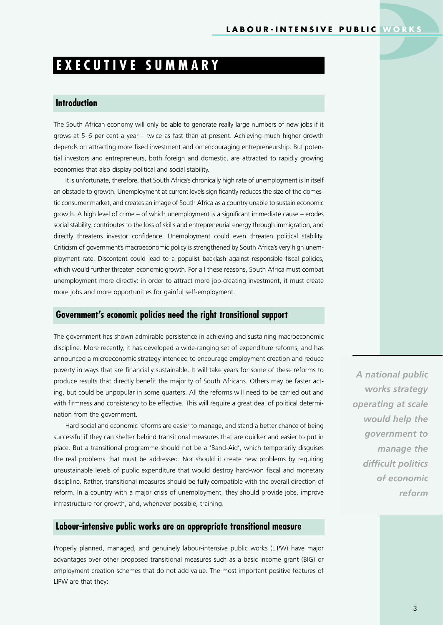# **EXECUTIVE SUMMARY**

#### **Introduction**

The South African economy will only be able to generate really large numbers of new jobs if it grows at 5–6 per cent a year – twice as fast than at present. Achieving much higher growth depends on attracting more fixed investment and on encouraging entrepreneurship. But potential investors and entrepreneurs, both foreign and domestic, are attracted to rapidly growing economies that also display political and social stability.

It is unfortunate, therefore, that South Africa's chronically high rate of unemployment is in itself an obstacle to growth. Unemployment at current levels significantly reduces the size of the domestic consumer market, and creates an image of South Africa as a country unable to sustain economic growth. A high level of crime – of which unemployment is a significant immediate cause – erodes social stability, contributes to the loss of skills and entrepreneurial energy through immigration, and directly threatens investor confidence. Unemployment could even threaten political stability. Criticism of government's macroeconomic policy is strengthened by South Africa's very high unemployment rate. Discontent could lead to a populist backlash against responsible fiscal policies, which would further threaten economic growth. For all these reasons, South Africa must combat unemployment more directly: in order to attract more job-creating investment, it must create more jobs and more opportunities for gainful self-employment.

#### **Government's economic policies need the right transitional support**

The government has shown admirable persistence in achieving and sustaining macroeconomic discipline. More recently, it has developed a wide-ranging set of expenditure reforms, and has announced a microeconomic strategy intended to encourage employment creation and reduce poverty in ways that are financially sustainable. It will take years for some of these reforms to produce results that directly benefit the majority of South Africans. Others may be faster acting, but could be unpopular in some quarters. All the reforms will need to be carried out and with firmness and consistency to be effective. This will require a great deal of political determination from the government.

Hard social and economic reforms are easier to manage, and stand a better chance of being successful if they can shelter behind transitional measures that are quicker and easier to put in place. But a transitional programme should not be a 'Band-Aid', which temporarily disguises the real problems that must be addressed. Nor should it create new problems by requiring unsustainable levels of public expenditure that would destroy hard-won fiscal and monetary discipline. Rather, transitional measures should be fully compatible with the overall direction of reform. In a country with a major crisis of unemployment, they should provide jobs, improve infrastructure for growth, and, whenever possible, training.

#### **Labour-intensive public works are an appropriate transitional measure**

Properly planned, managed, and genuinely labour-intensive public works (LIPW) have major advantages over other proposed transitional measures such as a basic income grant (BIG) or employment creation schemes that do not add value. The most important positive features of LIPW are that they:

*A national public works strategy operating at scale would help the government to manage the difficult politics of economic reform*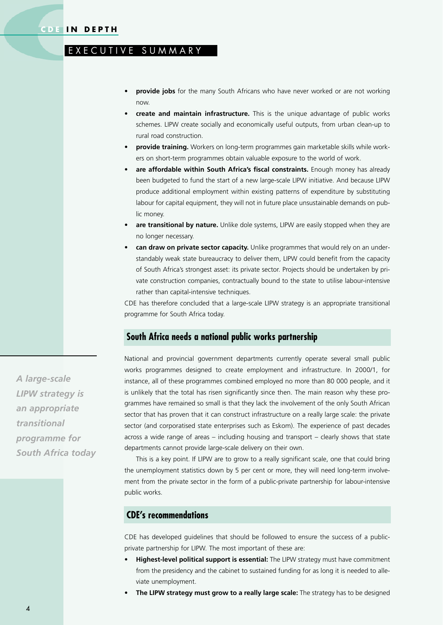## EXECUTIVE SUMMARY

- **provide jobs** for the many South Africans who have never worked or are not working now.
- **• create and maintain infrastructure.** This is the unique advantage of public works schemes. LIPW create socially and economically useful outputs, from urban clean-up to rural road construction.
- **• provide training.** Workers on long-term programmes gain marketable skills while workers on short-term programmes obtain valuable exposure to the world of work.
- **• are affordable within South Africa's fiscal constraints.** Enough money has already been budgeted to fund the start of a new large-scale LIPW initiative. And because LIPW produce additional employment within existing patterns of expenditure by substituting labour for capital equipment, they will not in future place unsustainable demands on public money.
- **are transitional by nature.** Unlike dole systems, LIPW are easily stopped when they are no longer necessary.
- **• can draw on private sector capacity.** Unlike programmes that would rely on an understandably weak state bureaucracy to deliver them, LIPW could benefit from the capacity of South Africa's strongest asset: its private sector. Projects should be undertaken by private construction companies, contractually bound to the state to utilise labour-intensive rather than capital-intensive techniques.

CDE has therefore concluded that a large-scale LIPW strategy is an appropriate transitional programme for South Africa today.

#### **South Africa needs a national public works partnership**

National and provincial government departments currently operate several small public works programmes designed to create employment and infrastructure. In 2000/1, for instance, all of these programmes combined employed no more than 80 000 people, and it is unlikely that the total has risen significantly since then. The main reason why these programmes have remained so small is that they lack the involvement of the only South African sector that has proven that it can construct infrastructure on a really large scale: the private sector (and corporatised state enterprises such as Eskom). The experience of past decades across a wide range of areas – including housing and transport – clearly shows that state departments cannot provide large-scale delivery on their own.

This is a key point. If LIPW are to grow to a really significant scale, one that could bring the unemployment statistics down by 5 per cent or more, they will need long-term involvement from the private sector in the form of a public-private partnership for labour-intensive public works.

#### **CDE's recommendations**

CDE has developed guidelines that should be followed to ensure the success of a publicprivate partnership for LIPW. The most important of these are:

- **• Highest-level political support is essential:** The LIPW strategy must have commitment from the presidency and the cabinet to sustained funding for as long it is needed to alleviate unemployment.
- **• The LIPW strategy must grow to a really large scale:** The strategy has to be designed

*A large-scale LIPW strategy is an appropriate transitional programme for South Africa today*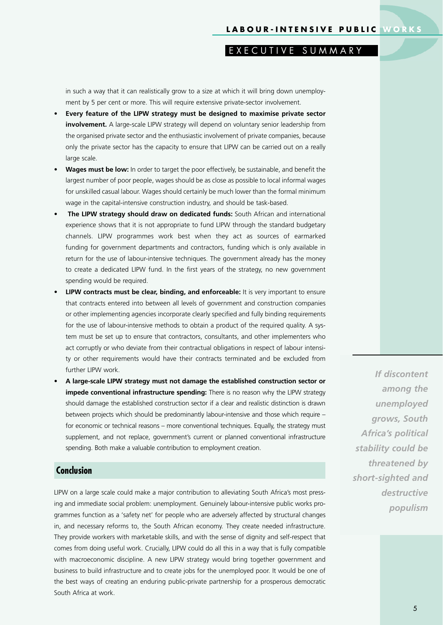#### EXECUTIVE SUMMARY

in such a way that it can realistically grow to a size at which it will bring down unemployment by 5 per cent or more. This will require extensive private-sector involvement.

- **• Every feature of the LIPW strategy must be designed to maximise private sector involvement.** A large-scale LIPW strategy will depend on voluntary senior leadership from the organised private sector and the enthusiastic involvement of private companies, because only the private sector has the capacity to ensure that LIPW can be carried out on a really large scale.
- **• Wages must be low:** In order to target the poor effectively, be sustainable, and benefit the largest number of poor people, wages should be as close as possible to local informal wages for unskilled casual labour. Wages should certainly be much lower than the formal minimum wage in the capital-intensive construction industry, and should be task-based.
- **• The LIPW strategy should draw on dedicated funds:** South African and international experience shows that it is not appropriate to fund LIPW through the standard budgetary channels. LIPW programmes work best when they act as sources of earmarked funding for government departments and contractors, funding which is only available in return for the use of labour-intensive techniques. The government already has the money to create a dedicated LIPW fund. In the first years of the strategy, no new government spending would be required.
- **• LIPW contracts must be clear, binding, and enforceable:** It is very important to ensure that contracts entered into between all levels of government and construction companies or other implementing agencies incorporate clearly specified and fully binding requirements for the use of labour-intensive methods to obtain a product of the required quality. A system must be set up to ensure that contractors, consultants, and other implementers who act corruptly or who deviate from their contractual obligations in respect of labour intensity or other requirements would have their contracts terminated and be excluded from further LIPW work.
- **• A large-scale LIPW strategy must not damage the established construction sector or impede conventional infrastructure spending:** There is no reason why the LIPW strategy should damage the established construction sector if a clear and realistic distinction is drawn between projects which should be predominantly labour-intensive and those which require – for economic or technical reasons – more conventional techniques. Equally, the strategy must supplement, and not replace, government's current or planned conventional infrastructure spending. Both make a valuable contribution to employment creation.

#### **Conclusion**

LIPW on a large scale could make a major contribution to alleviating South Africa's most pressing and immediate social problem: unemployment. Genuinely labour-intensive public works programmes function as a 'safety net' for people who are adversely affected by structural changes in, and necessary reforms to, the South African economy. They create needed infrastructure. They provide workers with marketable skills, and with the sense of dignity and self-respect that comes from doing useful work. Crucially, LIPW could do all this in a way that is fully compatible with macroeconomic discipline. A new LIPW strategy would bring together government and business to build infrastructure and to create jobs for the unemployed poor. It would be one of the best ways of creating an enduring public-private partnership for a prosperous democratic South Africa at work.

*If discontent among the unemployed grows, South Africa's political stability could be threatened by short-sighted and destructive populism*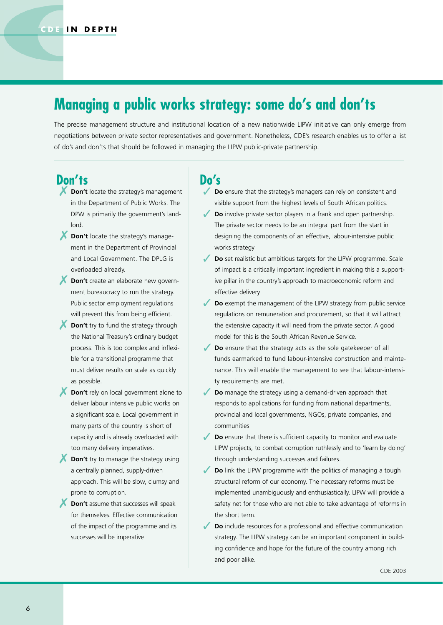# **Managing a public works strategy: some do's and don'ts**

The precise management structure and institutional location of a new nationwide LIPW initiative can only emerge from negotiations between private sector representatives and government. Nonetheless, CDE's research enables us to offer a list of do's and don'ts that should be followed in managing the LIPW public-private partnership.

## **Don'ts**

- ✗ **Don't** locate the strategy's management in the Department of Public Works. The DPW is primarily the government's landlord.
- ✗ **Don't** locate the strategy's management in the Department of Provincial and Local Government. The DPLG is overloaded already.
- ✗ **Don't** create an elaborate new government bureaucracy to run the strategy. Public sector employment regulations will prevent this from being efficient.
- **Don't** try to fund the strategy through the National Treasury's ordinary budget process. This is too complex and inflexible for a transitional programme that must deliver results on scale as quickly as possible.
- **Don't** rely on local government alone to deliver labour intensive public works on a significant scale. Local government in many parts of the country is short of capacity and is already overloaded with too many delivery imperatives.
- ✗ **Don't** try to manage the strategy using a centrally planned, supply-driven approach. This will be slow, clumsy and prone to corruption.
- **Don't** assume that successes will speak for themselves. Effective communication of the impact of the programme and its successes will be imperative

## **Do's**

- **Do** ensure that the strategy's managers can rely on consistent and visible support from the highest levels of South African politics.
- **Do** involve private sector players in a frank and open partnership. The private sector needs to be an integral part from the start in designing the components of an effective, labour-intensive public works strategy
- **Do** set realistic but ambitious targets for the LIPW programme. Scale of impact is a critically important ingredient in making this a supportive pillar in the country's approach to macroeconomic reform and effective delivery
- **Do** exempt the management of the LIPW strategy from public service regulations on remuneration and procurement, so that it will attract the extensive capacity it will need from the private sector. A good model for this is the South African Revenue Service.
- Do ensure that the strategy acts as the sole gatekeeper of all funds earmarked to fund labour-intensive construction and maintenance. This will enable the management to see that labour-intensity requirements are met.
- **Do** manage the strategy using a demand-driven approach that responds to applications for funding from national departments, provincial and local governments, NGOs, private companies, and communities
- Do ensure that there is sufficient capacity to monitor and evaluate LIPW projects, to combat corruption ruthlessly and to 'learn by doing' through understanding successes and failures.
- **Do** link the LIPW programme with the politics of managing a tough structural reform of our economy. The necessary reforms must be implemented unambiguously and enthusiastically. LIPW will provide a safety net for those who are not able to take advantage of reforms in the short term.
- Do include resources for a professional and effective communication strategy. The LIPW strategy can be an important component in building confidence and hope for the future of the country among rich and poor alike.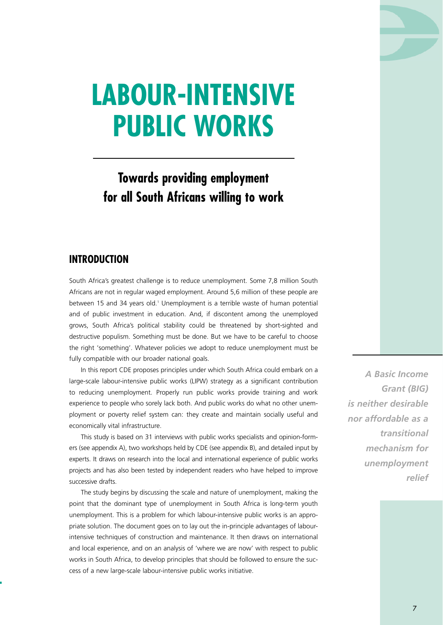# **LABOUR-INTENSIVE PUBLIC WORKS**

# **Towards providing employment for all South Africans willing to work**

## **INTRODUCTION**

South Africa's greatest challenge is to reduce unemployment. Some 7,8 million South Africans are not in regular waged employment. Around 5,6 million of these people are between 15 and 34 years old.<sup>1</sup> Unemployment is a terrible waste of human potential and of public investment in education. And, if discontent among the unemployed grows, South Africa's political stability could be threatened by short-sighted and destructive populism. Something must be done. But we have to be careful to choose the right 'something'. Whatever policies we adopt to reduce unemployment must be fully compatible with our broader national goals.

In this report CDE proposes principles under which South Africa could embark on a large-scale labour-intensive public works (LIPW) strategy as a significant contribution to reducing unemployment. Properly run public works provide training and work experience to people who sorely lack both. And public works do what no other unemployment or poverty relief system can: they create and maintain socially useful and economically vital infrastructure.

This study is based on 31 interviews with public works specialists and opinion-formers (see appendix A), two workshops held by CDE (see appendix B), and detailed input by experts. It draws on research into the local and international experience of public works projects and has also been tested by independent readers who have helped to improve successive drafts.

The study begins by discussing the scale and nature of unemployment, making the point that the dominant type of unemployment in South Africa is long-term youth unemployment. This is a problem for which labour-intensive public works is an appropriate solution. The document goes on to lay out the in-principle advantages of labourintensive techniques of construction and maintenance. It then draws on international and local experience, and on an analysis of 'where we are now' with respect to public works in South Africa, to develop principles that should be followed to ensure the success of a new large-scale labour-intensive public works initiative.

*A Basic Income Grant (BIG) is neither desirable nor affordable as a transitional mechanism for unemployment relief*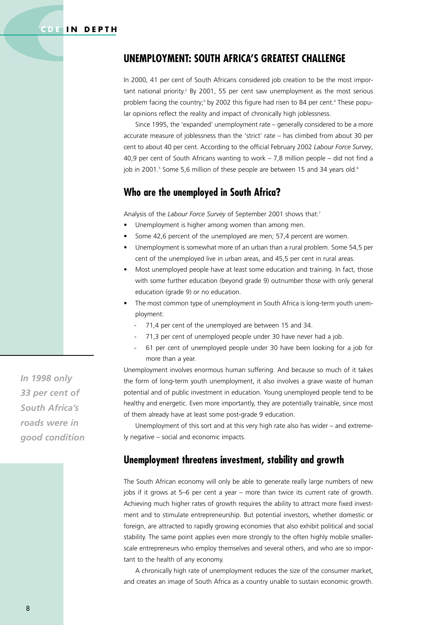### **UNEMPLOYMENT: SOUTH AFRICA'S GREATEST CHALLENGE**

In 2000, 41 per cent of South Africans considered job creation to be the most important national priority.<sup>2</sup> By 2001, 55 per cent saw unemployment as the most serious problem facing the country;<sup>3</sup> by 2002 this figure had risen to 84 per cent.<sup>4</sup> These popular opinions reflect the reality and impact of chronically high joblessness.

Since 1995, the 'expanded' unemployment rate – generally considered to be a more accurate measure of joblessness than the 'strict' rate – has climbed from about 30 per cent to about 40 per cent. According to the official February 2002 *Labour Force Survey*, 40,9 per cent of South Africans wanting to work – 7,8 million people – did not find a job in 2001.<sup>5</sup> Some 5,6 million of these people are between 15 and 34 years old.<sup>6</sup>

#### **Who are the unemployed in South Africa?**

Analysis of the *Labour Force Survey* of September 2001 shows that:7

- Unemployment is higher among women than among men.
- Some 42,6 percent of the unemployed are men; 57,4 percent are women.
- Unemployment is somewhat more of an urban than a rural problem. Some 54,5 per cent of the unemployed live in urban areas, and 45,5 per cent in rural areas.
- Most unemployed people have at least some education and training. In fact, those with some further education (beyond grade 9) outnumber those with only general education (grade 9) or no education.
- The most common type of unemployment in South Africa is long-term youth unemployment:
	- 71,4 per cent of the unemployed are between 15 and 34.
	- 71,3 per cent of unemployed people under 30 have never had a job.
	- 61 per cent of unemployed people under 30 have been looking for a job for more than a year.

Unemployment involves enormous human suffering. And because so much of it takes the form of long-term youth unemployment, it also involves a grave waste of human potential and of public investment in education. Young unemployed people tend to be healthy and energetic. Even more importantly, they are potentially trainable, since most of them already have at least some post-grade 9 education.

Unemployment of this sort and at this very high rate also has wider – and extremely negative – social and economic impacts.

#### **Unemployment threatens investment, stability and growth**

The South African economy will only be able to generate really large numbers of new jobs if it grows at 5–6 per cent a year – more than twice its current rate of growth. Achieving much higher rates of growth requires the ability to attract more fixed investment and to stimulate entrepreneurship. But potential investors, whether domestic or foreign, are attracted to rapidly growing economies that also exhibit political and social stability. The same point applies even more strongly to the often highly mobile smallerscale entrepreneurs who employ themselves and several others, and who are so important to the health of any economy.

A chronically high rate of unemployment reduces the size of the consumer market, and creates an image of South Africa as a country unable to sustain economic growth.

*In 1998 only 33 per cent of South Africa's roads were in good condition*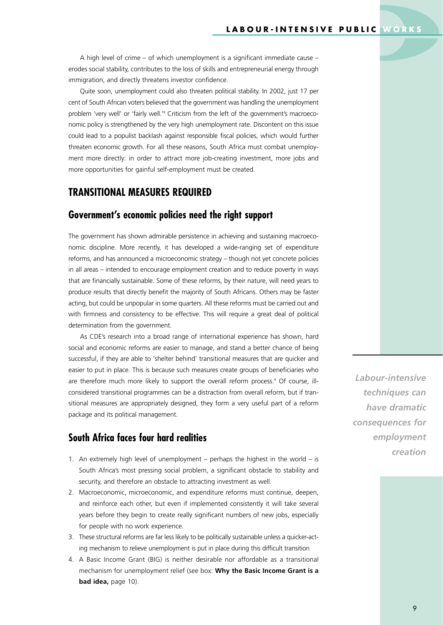A high level of crime – of which unemployment is a significant immediate cause – erodes social stability, contributes to the loss of skills and entrepreneurial energy through immigration, and directly threatens investor confidence.

Quite soon, unemployment could also threaten political stability. In 2002, just 17 per cent of South African voters believed that the government was handling the unemployment problem 'very well' or 'fairly well.' <sup>8</sup> Criticism from the left of the government's macroeconomic policy is strengthened by the very high unemployment rate. Discontent on this issue could lead to a populist backlash against responsible fiscal policies, which would further threaten economic growth. For all these reasons, South Africa must combat unemployment more directly: in order to attract more job-creating investment, more jobs and more opportunities for gainful self-employment must be created.

## **TRANSITIONAL MEASURES REQUIRED**

#### **Government's economic policies need the right support**

The government has shown admirable persistence in achieving and sustaining macroeconomic discipline. More recently, it has developed a wide-ranging set of expenditure reforms, and has announced a microeconomic strategy – though not yet concrete policies in all areas – intended to encourage employment creation and to reduce poverty in ways that are financially sustainable. Some of these reforms, by their nature, will need years to produce results that directly benefit the majority of South Africans. Others may be faster acting, but could be unpopular in some quarters. All these reforms must be carried out and with firmness and consistency to be effective. This will require a great deal of political determination from the government.

As CDE's research into a broad range of international experience has shown, hard social and economic reforms are easier to manage, and stand a better chance of being successful, if they are able to 'shelter behind' transitional measures that are quicker and easier to put in place. This is because such measures create groups of beneficiaries who are therefore much more likely to support the overall reform process.<sup>9</sup> Of course, illconsidered transitional programmes can be a distraction from overall reform, but if transitional measures are appropriately designed, they form a very useful part of a reform package and its political management.

## **South Africa faces four hard realities**

- 1. An extremely high level of unemployment perhaps the highest in the world is South Africa's most pressing social problem, a significant obstacle to stability and security, and therefore an obstacle to attracting investment as well.
- 2. Macroeconomic, microeconomic, and expenditure reforms must continue, deepen, and reinforce each other, but even if implemented consistently it will take several years before they begin to create really significant numbers of new jobs, especially for people with no work experience.
- 3. These structural reforms are far less likely to be politically sustainable unless a quicker-acting mechanism to relieve unemployment is put in place during this difficult transition
- 4. A Basic Income Grant (BIG) is neither desirable nor affordable as a transitional mechanism for unemployment relief (see box: **Why the Basic Income Grant is a bad idea,** page 10).

*Labour-intensive techniques can have dramatic consequences for employment creation*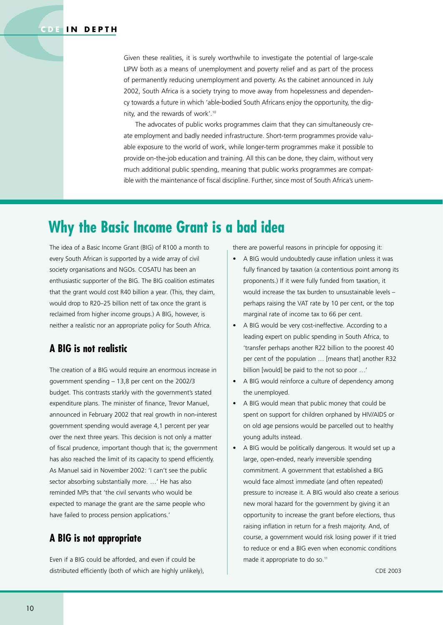Given these realities, it is surely worthwhile to investigate the potential of large-scale LIPW both as a means of unemployment and poverty relief and as part of the process of permanently reducing unemployment and poverty. As the cabinet announced in July 2002, South Africa is a society trying to move away from hopelessness and dependency towards a future in which 'able-bodied South Africans enjoy the opportunity, the dignity, and the rewards of work'. 10

The advocates of public works programmes claim that they can simultaneously create employment and badly needed infrastructure. Short-term programmes provide valuable exposure to the world of work, while longer-term programmes make it possible to provide on-the-job education and training. All this can be done, they claim, without very much additional public spending, meaning that public works programmes are compatible with the maintenance of fiscal discipline. Further, since most of South Africa's unem-

# **Why the Basic Income Grant is a bad idea**

The idea of a Basic Income Grant (BIG) of R100 a month to every South African is supported by a wide array of civil society organisations and NGOs. COSATU has been an enthusiastic supporter of the BIG. The BIG coalition estimates that the grant would cost R40 billion a year. (This, they claim, would drop to R20–25 billion nett of tax once the grant is reclaimed from higher income groups.) A BIG, however, is neither a realistic nor an appropriate policy for South Africa.

#### **A BIG is not realistic**

The creation of a BIG would require an enormous increase in government spending – 13,8 per cent on the 2002/3 budget. This contrasts starkly with the government's stated expenditure plans. The minister of finance, Trevor Manuel, announced in February 2002 that real growth in non-interest government spending would average 4,1 percent per year over the next three years. This decision is not only a matter of fiscal prudence, important though that is; the government has also reached the limit of its capacity to spend efficiently. As Manuel said in November 2002: 'I can't see the public sector absorbing substantially more. …' He has also reminded MPs that 'the civil servants who would be expected to manage the grant are the same people who have failed to process pension applications.'

#### **A BIG is not appropriate**

Even if a BIG could be afforded, and even if could be distributed efficiently (both of which are highly unlikely), there are powerful reasons in principle for opposing it:

- A BIG would undoubtedly cause inflation unless it was fully financed by taxation (a contentious point among its proponents.) If it were fully funded from taxation, it would increase the tax burden to unsustainable levels – perhaps raising the VAT rate by 10 per cent, or the top marginal rate of income tax to 66 per cent.
- A BIG would be very cost-ineffective. According to a leading expert on public spending in South Africa, to 'transfer perhaps another R22 billion to the poorest 40 per cent of the population … [means that] another R32 billion [would] be paid to the not so poor …'
- A BIG would reinforce a culture of dependency among the unemployed.
- A BIG would mean that public money that could be spent on support for children orphaned by HIV/AIDS or on old age pensions would be parcelled out to healthy young adults instead.
- A BIG would be politically dangerous. It would set up a large, open-ended, nearly irreversible spending commitment. A government that established a BIG would face almost immediate (and often repeated) pressure to increase it. A BIG would also create a serious new moral hazard for the government by giving it an opportunity to increase the grant before elections, thus raising inflation in return for a fresh majority. And, of course, a government would risk losing power if it tried to reduce or end a BIG even when economic conditions made it appropriate to do so.<sup>11</sup>

CDE 2003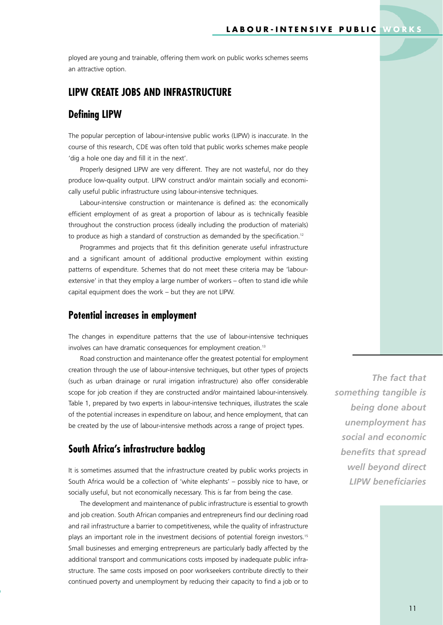ployed are young and trainable, offering them work on public works schemes seems an attractive option.

## **LIPW CREATE JOBS AND INFRASTRUCTURE**

#### **Defining LIPW**

The popular perception of labour-intensive public works (LIPW) is inaccurate. In the course of this research, CDE was often told that public works schemes make people 'dig a hole one day and fill it in the next'.

Properly designed LIPW are very different. They are not wasteful, nor do they produce low-quality output. LIPW construct and/or maintain socially and economically useful public infrastructure using labour-intensive techniques.

Labour-intensive construction or maintenance is defined as: the economically efficient employment of as great a proportion of labour as is technically feasible throughout the construction process (ideally including the production of materials) to produce as high a standard of construction as demanded by the specification.<sup>12</sup>

Programmes and projects that fit this definition generate useful infrastructure and a significant amount of additional productive employment within existing patterns of expenditure. Schemes that do not meet these criteria may be 'labourextensive' in that they employ a large number of workers – often to stand idle while capital equipment does the work – but they are not LIPW.

#### **Potential increases in employment**

The changes in expenditure patterns that the use of labour-intensive techniques involves can have dramatic consequences for employment creation.<sup>13</sup>

Road construction and maintenance offer the greatest potential for employment creation through the use of labour-intensive techniques, but other types of projects (such as urban drainage or rural irrigation infrastructure) also offer considerable scope for job creation if they are constructed and/or maintained labour-intensively. Table 1, prepared by two experts in labour-intensive techniques, illustrates the scale of the potential increases in expenditure on labour, and hence employment, that can be created by the use of labour-intensive methods across a range of project types.

#### **South Africa's infrastructure backlog**

It is sometimes assumed that the infrastructure created by public works projects in South Africa would be a collection of 'white elephants' – possibly nice to have, or socially useful, but not economically necessary. This is far from being the case.

The development and maintenance of public infrastructure is essential to growth and job creation. South African companies and entrepreneurs find our declining road and rail infrastructure a barrier to competitiveness, while the quality of infrastructure plays an important role in the investment decisions of potential foreign investors.15 Small businesses and emerging entrepreneurs are particularly badly affected by the additional transport and communications costs imposed by inadequate public infrastructure. The same costs imposed on poor workseekers contribute directly to their continued poverty and unemployment by reducing their capacity to find a job or to

*The fact that something tangible is being done about unemployment has social and economic benefits that spread well beyond direct LIPW beneficiaries*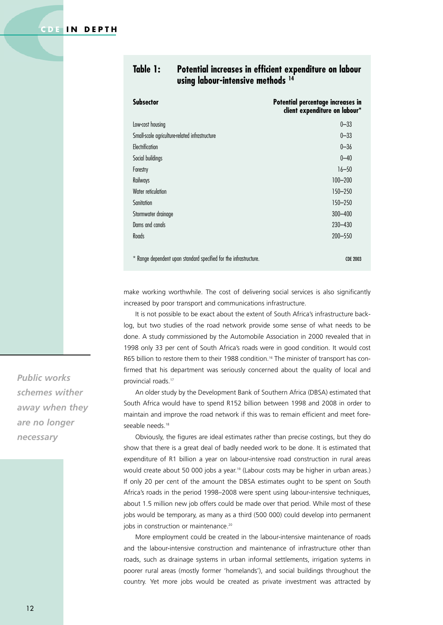| <b>Subsector</b>                                                  | Potential percentage increases in<br>client expenditure on labour* |
|-------------------------------------------------------------------|--------------------------------------------------------------------|
| Low-cost housing                                                  | $0 - 33$                                                           |
| Small-scale agriculture-related infrastructure                    | $0 - 33$                                                           |
| Electrification                                                   | $0 - 36$                                                           |
| Social buildings                                                  | $0 - 40$                                                           |
| Forestry                                                          | $16 - 50$                                                          |
| Railways                                                          | $100 - 200$                                                        |
| Water reticulation                                                | $150 - 250$                                                        |
| Sanitation                                                        | $150 - 250$                                                        |
| Stormwater drainage                                               | $300 - 400$                                                        |
| Dams and canals                                                   | 230-430                                                            |
| Roads                                                             | $200 - 550$                                                        |
| * Range dependent upon standard specified for the infrastructure. | <b>CDE 2003</b>                                                    |

#### **Table 1: Potential increases in efficient expenditure on labour using labour-intensive methods 14**

make working worthwhile. The cost of delivering social services is also significantly increased by poor transport and communications infrastructure.

It is not possible to be exact about the extent of South Africa's infrastructure backlog, but two studies of the road network provide some sense of what needs to be done. A study commissioned by the Automobile Association in 2000 revealed that in 1998 only 33 per cent of South Africa's roads were in good condition. It would cost R65 billion to restore them to their 1988 condition.<sup>16</sup> The minister of transport has confirmed that his department was seriously concerned about the quality of local and provincial roads.<sup>17</sup>

An older study by the Development Bank of Southern Africa (DBSA) estimated that South Africa would have to spend R152 billion between 1998 and 2008 in order to maintain and improve the road network if this was to remain efficient and meet foreseeable needs.<sup>18</sup>

Obviously, the figures are ideal estimates rather than precise costings, but they do show that there is a great deal of badly needed work to be done. It is estimated that expenditure of R1 billion a year on labour-intensive road construction in rural areas would create about 50 000 jobs a year.19 (Labour costs may be higher in urban areas.) If only 20 per cent of the amount the DBSA estimates ought to be spent on South Africa's roads in the period 1998–2008 were spent using labour-intensive techniques, about 1.5 million new job offers could be made over that period. While most of these jobs would be temporary, as many as a third (500 000) could develop into permanent jobs in construction or maintenance.<sup>20</sup>

More employment could be created in the labour-intensive maintenance of roads and the labour-intensive construction and maintenance of infrastructure other than roads, such as drainage systems in urban informal settlements, irrigation systems in poorer rural areas (mostly former 'homelands'), and social buildings throughout the country. Yet more jobs would be created as private investment was attracted by

*Public works schemes wither away when they are no longer necessary*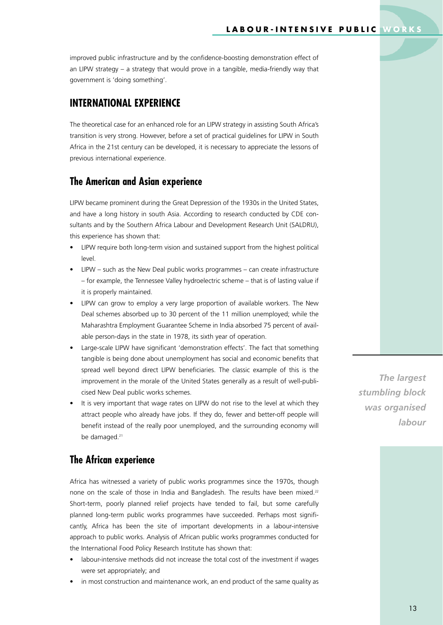improved public infrastructure and by the confidence-boosting demonstration effect of an LIPW strategy – a strategy that would prove in a tangible, media-friendly way that government is 'doing something'.

## **INTERNATIONAL EXPERIENCE**

The theoretical case for an enhanced role for an LIPW strategy in assisting South Africa's transition is very strong. However, before a set of practical guidelines for LIPW in South Africa in the 21st century can be developed, it is necessary to appreciate the lessons of previous international experience.

#### **The American and Asian experience**

LIPW became prominent during the Great Depression of the 1930s in the United States, and have a long history in south Asia. According to research conducted by CDE consultants and by the Southern Africa Labour and Development Research Unit (SALDRU), this experience has shown that:

- LIPW require both long-term vision and sustained support from the highest political level.
- LIPW such as the New Deal public works programmes can create infrastructure – for example, the Tennessee Valley hydroelectric scheme – that is of lasting value if it is properly maintained.
- LIPW can grow to employ a very large proportion of available workers. The New Deal schemes absorbed up to 30 percent of the 11 million unemployed; while the Maharashtra Employment Guarantee Scheme in India absorbed 75 percent of available person-days in the state in 1978, its sixth year of operation.
- Large-scale LIPW have significant 'demonstration effects'. The fact that something tangible is being done about unemployment has social and economic benefits that spread well beyond direct LIPW beneficiaries. The classic example of this is the improvement in the morale of the United States generally as a result of well-publicised New Deal public works schemes.
- It is very important that wage rates on LIPW do not rise to the level at which they attract people who already have jobs. If they do, fewer and better-off people will benefit instead of the really poor unemployed, and the surrounding economy will be damaged.<sup>21</sup>

#### **The African experience**

Africa has witnessed a variety of public works programmes since the 1970s, though none on the scale of those in India and Bangladesh. The results have been mixed.<sup>22</sup> Short-term, poorly planned relief projects have tended to fail, but some carefully planned long-term public works programmes have succeeded. Perhaps most significantly, Africa has been the site of important developments in a labour-intensive approach to public works. Analysis of African public works programmes conducted for the International Food Policy Research Institute has shown that:

- labour-intensive methods did not increase the total cost of the investment if wages were set appropriately; and
- in most construction and maintenance work, an end product of the same quality as

*The largest stumbling block was organised labour*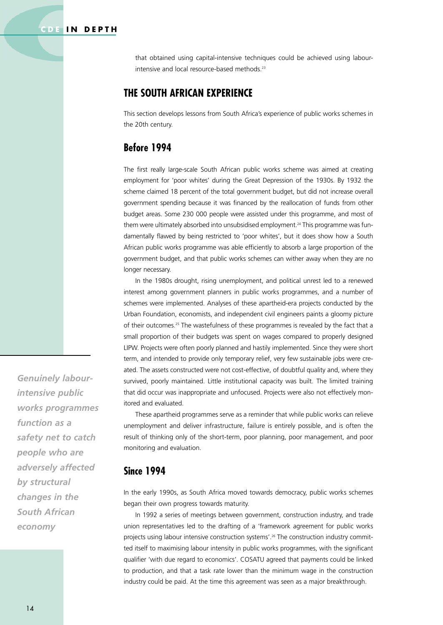#### **CDE IN DEPTH**

that obtained using capital-intensive techniques could be achieved using labourintensive and local resource-based methods.<sup>23</sup>

## **THE SOUTH AFRICAN EXPERIENCE**

This section develops lessons from South Africa's experience of public works schemes in the 20th century.

#### **Before 1994**

The first really large-scale South African public works scheme was aimed at creating employment for 'poor whites' during the Great Depression of the 1930s. By 1932 the scheme claimed 18 percent of the total government budget, but did not increase overall government spending because it was financed by the reallocation of funds from other budget areas. Some 230 000 people were assisted under this programme, and most of them were ultimately absorbed into unsubsidised employment.24 This programme was fundamentally flawed by being restricted to 'poor whites', but it does show how a South African public works programme was able efficiently to absorb a large proportion of the government budget, and that public works schemes can wither away when they are no longer necessary.

In the 1980s drought, rising unemployment, and political unrest led to a renewed interest among government planners in public works programmes, and a number of schemes were implemented. Analyses of these apartheid-era projects conducted by the Urban Foundation, economists, and independent civil engineers paints a gloomy picture of their outcomes.<sup>25</sup> The wastefulness of these programmes is revealed by the fact that a small proportion of their budgets was spent on wages compared to properly designed LIPW. Projects were often poorly planned and hastily implemented. Since they were short term, and intended to provide only temporary relief, very few sustainable jobs were created. The assets constructed were not cost-effective, of doubtful quality and, where they survived, poorly maintained. Little institutional capacity was built. The limited training that did occur was inappropriate and unfocused. Projects were also not effectively monitored and evaluated.

These apartheid programmes serve as a reminder that while public works can relieve unemployment and deliver infrastructure, failure is entirely possible, and is often the result of thinking only of the short-term, poor planning, poor management, and poor monitoring and evaluation.

#### **Since 1994**

In the early 1990s, as South Africa moved towards democracy, public works schemes began their own progress towards maturity.

In 1992 a series of meetings between government, construction industry, and trade union representatives led to the drafting of a 'framework agreement for public works projects using labour intensive construction systems'. <sup>26</sup> The construction industry committed itself to maximising labour intensity in public works programmes, with the significant qualifier 'with due regard to economics'. COSATU agreed that payments could be linked to production, and that a task rate lower than the minimum wage in the construction industry could be paid. At the time this agreement was seen as a major breakthrough.

*Genuinely labourintensive public works programmes function as a safety net to catch people who are adversely affected by structural changes in the South African economy*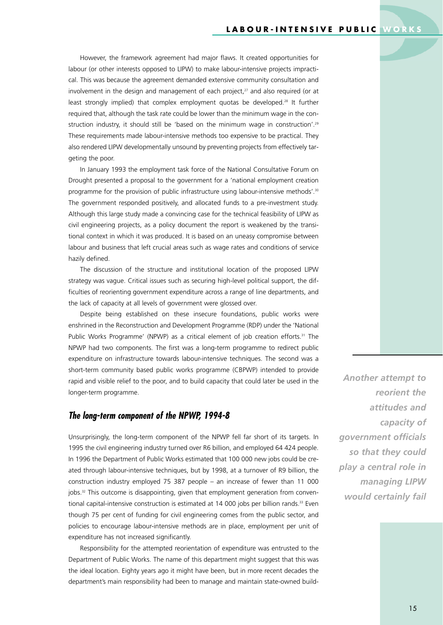However, the framework agreement had major flaws. It created opportunities for labour (or other interests opposed to LIPW) to make labour-intensive projects impractical. This was because the agreement demanded extensive community consultation and involvement in the design and management of each project, $27$  and also required (or at least strongly implied) that complex employment quotas be developed.28 It further required that, although the task rate could be lower than the minimum wage in the construction industry, it should still be 'based on the minimum wage in construction'. 29 These requirements made labour-intensive methods too expensive to be practical. They also rendered LIPW developmentally unsound by preventing projects from effectively targeting the poor.

In January 1993 the employment task force of the National Consultative Forum on Drought presented a proposal to the government for a 'national employment creation programme for the provision of public infrastructure using labour-intensive methods'. 30 The government responded positively, and allocated funds to a pre-investment study. Although this large study made a convincing case for the technical feasibility of LIPW as civil engineering projects, as a policy document the report is weakened by the transitional context in which it was produced. It is based on an uneasy compromise between labour and business that left crucial areas such as wage rates and conditions of service hazily defined.

The discussion of the structure and institutional location of the proposed LIPW strategy was vague. Critical issues such as securing high-level political support, the difficulties of reorienting government expenditure across a range of line departments, and the lack of capacity at all levels of government were glossed over.

Despite being established on these insecure foundations, public works were enshrined in the Reconstruction and Development Programme (RDP) under the 'National Public Works Programme' (NPWP) as a critical element of job creation efforts.<sup>31</sup> The NPWP had two components. The first was a long-term programme to redirect public expenditure on infrastructure towards labour-intensive techniques. The second was a short-term community based public works programme (CBPWP) intended to provide rapid and visible relief to the poor, and to build capacity that could later be used in the longer-term programme.

#### *The long-term component of the NPWP, 1994-8*

Unsurprisingly, the long-term component of the NPWP fell far short of its targets. In 1995 the civil engineering industry turned over R6 billion, and employed 64 424 people. In 1996 the Department of Public Works estimated that 100 000 new jobs could be created through labour-intensive techniques, but by 1998, at a turnover of R9 billion, the construction industry employed 75 387 people – an increase of fewer than 11 000 jobs.<sup>32</sup> This outcome is disappointing, given that employment generation from conventional capital-intensive construction is estimated at 14 000 jobs per billion rands.<sup>33</sup> Even though 75 per cent of funding for civil engineering comes from the public sector, and policies to encourage labour-intensive methods are in place, employment per unit of expenditure has not increased significantly.

Responsibility for the attempted reorientation of expenditure was entrusted to the Department of Public Works. The name of this department might suggest that this was the ideal location. Eighty years ago it might have been, but in more recent decades the department's main responsibility had been to manage and maintain state-owned build-

*Another attempt to reorient the attitudes and capacity of government officials so that they could play a central role in managing LIPW would certainly fail*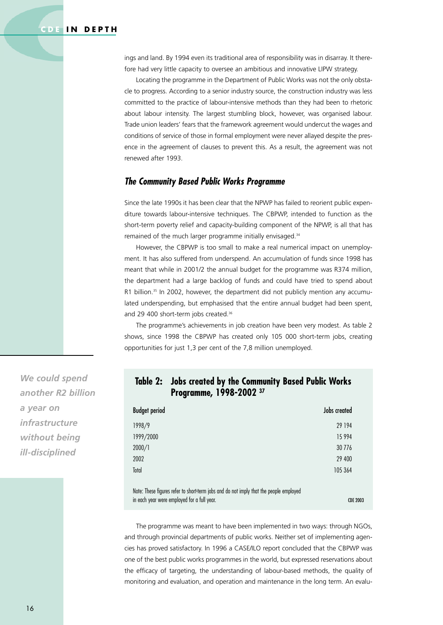ings and land. By 1994 even its traditional area of responsibility was in disarray. It therefore had very little capacity to oversee an ambitious and innovative LIPW strategy.

Locating the programme in the Department of Public Works was not the only obstacle to progress. According to a senior industry source, the construction industry was less committed to the practice of labour-intensive methods than they had been to rhetoric about labour intensity. The largest stumbling block, however, was organised labour. Trade union leaders' fears that the framework agreement would undercut the wages and conditions of service of those in formal employment were never allayed despite the presence in the agreement of clauses to prevent this. As a result, the agreement was not renewed after 1993.

#### *The Community Based Public Works Programme*

Since the late 1990s it has been clear that the NPWP has failed to reorient public expenditure towards labour-intensive techniques. The CBPWP, intended to function as the short-term poverty relief and capacity-building component of the NPWP, is all that has remained of the much larger programme initially envisaged.34

However, the CBPWP is too small to make a real numerical impact on unemployment. It has also suffered from underspend. An accumulation of funds since 1998 has meant that while in 2001/2 the annual budget for the programme was R374 million, the department had a large backlog of funds and could have tried to spend about R1 billion.<sup>35</sup> In 2002, however, the department did not publicly mention any accumulated underspending, but emphasised that the entire annual budget had been spent, and 29 400 short-term jobs created.<sup>36</sup>

The programme's achievements in job creation have been very modest. As table 2 shows, since 1998 the CBPWP has created only 105 000 short-term jobs, creating opportunities for just 1,3 per cent of the 7,8 million unemployed.

*We could spend another R2 billion a year on infrastructure without being ill-disciplined*

#### **Table 2: Jobs created by the Community Based Public Works Programme, 1998-2002 37**

| <b>Budget period</b>                                                                   | Jobs created |  |
|----------------------------------------------------------------------------------------|--------------|--|
| 1998/9                                                                                 | 29 194       |  |
| 1999/2000                                                                              | 15 9 94      |  |
| 2000/1                                                                                 | 30 7 7 6     |  |
| 2002                                                                                   | 29 400       |  |
| Total                                                                                  | 105 364      |  |
|                                                                                        |              |  |
| Note: These figures refer to short-term jobs and do not imply that the people employed |              |  |

in each year were employed for a full year. CDE 2003

The programme was meant to have been implemented in two ways: through NGOs, and through provincial departments of public works. Neither set of implementing agencies has proved satisfactory. In 1996 a CASE/ILO report concluded that the CBPWP was one of the best public works programmes in the world, but expressed reservations about the efficacy of targeting, the understanding of labour-based methods, the quality of monitoring and evaluation, and operation and maintenance in the long term. An evalu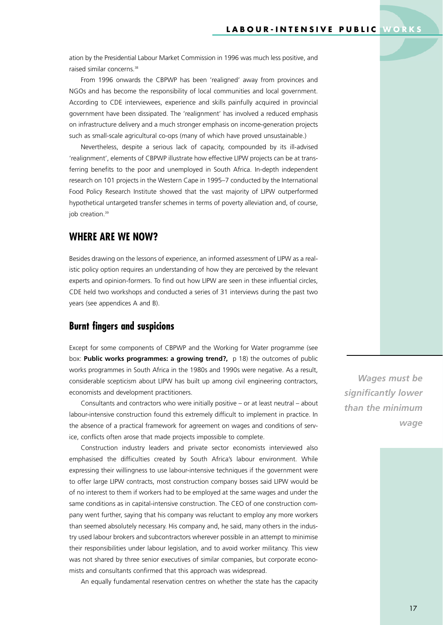ation by the Presidential Labour Market Commission in 1996 was much less positive, and raised similar concerns.<sup>38</sup>

From 1996 onwards the CBPWP has been 'realigned' away from provinces and NGOs and has become the responsibility of local communities and local government. According to CDE interviewees, experience and skills painfully acquired in provincial government have been dissipated. The 'realignment' has involved a reduced emphasis on infrastructure delivery and a much stronger emphasis on income-generation projects such as small-scale agricultural co-ops (many of which have proved unsustainable.)

Nevertheless, despite a serious lack of capacity, compounded by its ill-advised 'realignment', elements of CBPWP illustrate how effective LIPW projects can be at transferring benefits to the poor and unemployed in South Africa. In-depth independent research on 101 projects in the Western Cape in 1995–7 conducted by the International Food Policy Research Institute showed that the vast majority of LIPW outperformed hypothetical untargeted transfer schemes in terms of poverty alleviation and, of course, job creation.<sup>39</sup>

## **WHERE ARE WE NOW?**

Besides drawing on the lessons of experience, an informed assessment of LIPW as a realistic policy option requires an understanding of how they are perceived by the relevant experts and opinion-formers. To find out how LIPW are seen in these influential circles, CDE held two workshops and conducted a series of 31 interviews during the past two years (see appendices A and B).

#### **Burnt fingers and suspicions**

Except for some components of CBPWP and the Working for Water programme (see box: **Public works programmes: a growing trend?,** p 18) the outcomes of public works programmes in South Africa in the 1980s and 1990s were negative. As a result, considerable scepticism about LIPW has built up among civil engineering contractors, economists and development practitioners.

Consultants and contractors who were initially positive – or at least neutral – about labour-intensive construction found this extremely difficult to implement in practice. In the absence of a practical framework for agreement on wages and conditions of service, conflicts often arose that made projects impossible to complete.

Construction industry leaders and private sector economists interviewed also emphasised the difficulties created by South Africa's labour environment. While expressing their willingness to use labour-intensive techniques if the government were to offer large LIPW contracts, most construction company bosses said LIPW would be of no interest to them if workers had to be employed at the same wages and under the same conditions as in capital-intensive construction. The CEO of one construction company went further, saying that his company was reluctant to employ any more workers than seemed absolutely necessary. His company and, he said, many others in the industry used labour brokers and subcontractors wherever possible in an attempt to minimise their responsibilities under labour legislation, and to avoid worker militancy. This view was not shared by three senior executives of similar companies, but corporate economists and consultants confirmed that this approach was widespread.

An equally fundamental reservation centres on whether the state has the capacity

*Wages must be significantly lower than the minimum wage*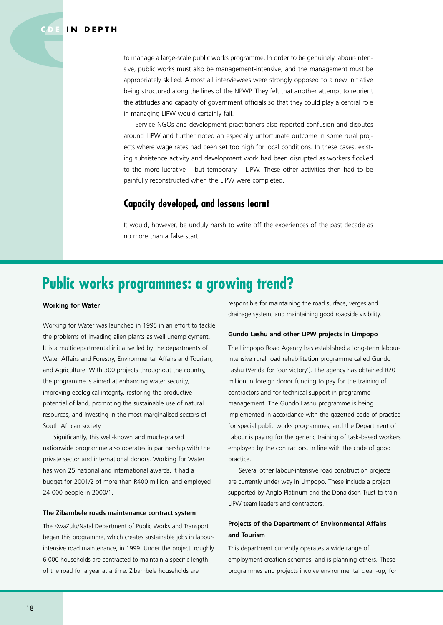to manage a large-scale public works programme. In order to be genuinely labour-intensive, public works must also be management-intensive, and the management must be appropriately skilled. Almost all interviewees were strongly opposed to a new initiative being structured along the lines of the NPWP. They felt that another attempt to reorient the attitudes and capacity of government officials so that they could play a central role in managing LIPW would certainly fail.

Service NGOs and development practitioners also reported confusion and disputes around LIPW and further noted an especially unfortunate outcome in some rural projects where wage rates had been set too high for local conditions. In these cases, existing subsistence activity and development work had been disrupted as workers flocked to the more lucrative – but temporary – LIPW. These other activities then had to be painfully reconstructed when the LIPW were completed.

#### **Capacity developed, and lessons learnt**

It would, however, be unduly harsh to write off the experiences of the past decade as no more than a false start.

# **Public works programmes: a growing trend?**

#### **Working for Water**

Working for Water was launched in 1995 in an effort to tackle the problems of invading alien plants as well unemployment. It is a multidepartmental initiative led by the departments of Water Affairs and Forestry, Environmental Affairs and Tourism, and Agriculture. With 300 projects throughout the country, the programme is aimed at enhancing water security, improving ecological integrity, restoring the productive potential of land, promoting the sustainable use of natural resources, and investing in the most marginalised sectors of South African society.

Significantly, this well-known and much-praised nationwide programme also operates in partnership with the private sector and international donors. Working for Water has won 25 national and international awards. It had a budget for 2001/2 of more than R400 million, and employed 24 000 people in 2000/1.

#### **The Zibambele roads maintenance contract system**

The KwaZulu/Natal Department of Public Works and Transport began this programme, which creates sustainable jobs in labourintensive road maintenance, in 1999. Under the project, roughly 6 000 households are contracted to maintain a specific length of the road for a year at a time. Zibambele households are

responsible for maintaining the road surface, verges and drainage system, and maintaining good roadside visibility.

#### **Gundo Lashu and other LIPW projects in Limpopo**

The Limpopo Road Agency has established a long-term labourintensive rural road rehabilitation programme called Gundo Lashu (Venda for 'our victory'). The agency has obtained R20 million in foreign donor funding to pay for the training of contractors and for technical support in programme management. The Gundo Lashu programme is being implemented in accordance with the gazetted code of practice for special public works programmes, and the Department of Labour is paying for the generic training of task-based workers employed by the contractors, in line with the code of good practice.

Several other labour-intensive road construction projects are currently under way in Limpopo. These include a project supported by Anglo Platinum and the Donaldson Trust to train LIPW team leaders and contractors.

#### **Projects of the Department of Environmental Affairs and Tourism**

This department currently operates a wide range of employment creation schemes, and is planning others. These programmes and projects involve environmental clean-up, for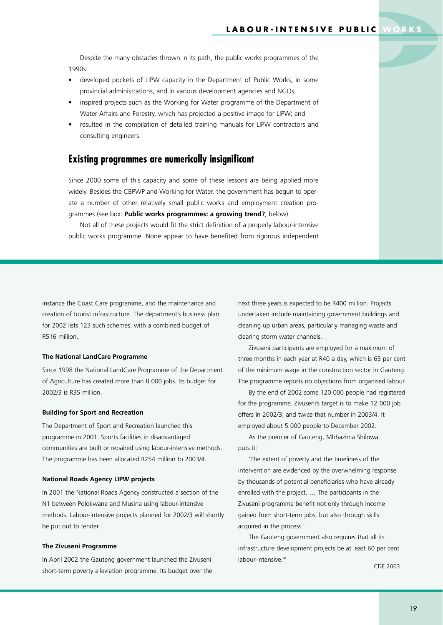Despite the many obstacles thrown in its path, the public works programmes of the 1990s:

- developed pockets of LIPW capacity in the Department of Public Works, in some provincial administrations, and in various development agencies and NGOs;
- inspired projects such as the Working for Water programme of the Department of Water Affairs and Forestry, which has projected a positive image for LIPW; and
- resulted in the compilation of detailed training manuals for LIPW contractors and consulting engineers.

## **Existing programmes are numerically insignificant**

Since 2000 some of this capacity and some of these lessons are being applied more widely. Besides the CBPWP and Working for Water, the government has begun to operate a number of other relatively small public works and employment creation programmes (see box: **Public works programmes: a growing trend?**, below).

Not all of these projects would fit the strict definition of a properly labour-intensive public works programme. None appear to have benefited from rigorous independent

instance the Coast Care programme, and the maintenance and creation of tourist infrastructure. The department's business plan for 2002 lists 123 such schemes, with a combined budget of R516 million.

#### **The National LandCare Programme**

Since 1998 the National LandCare Programme of the Department of Agriculture has created more than 8 000 jobs. Its budget for 2002/3 is R35 million.

#### **Building for Sport and Recreation**

The Department of Sport and Recreation launched this programme in 2001. Sports facilities in disadvantaged communities are built or repaired using labour-intensive methods. The programme has been allocated R254 million to 2003/4.

#### **National Roads Agency LIPW projects**

In 2001 the National Roads Agency constructed a section of the N1 between Polokwane and Musina using labour-intensive methods. Labour-intensive projects planned for 2002/3 will shortly be put out to tender.

#### **The Zivuseni Programme**

In April 2002 the Gauteng government launched the Zivuseni short-term poverty alleviation programme. Its budget over the next three years is expected to be R400 million. Projects undertaken include maintaining government buildings and cleaning up urban areas, particularly managing waste and clearing storm water channels.

Zivuseni participants are employed for a maximum of three months in each year at R40 a day, which is 65 per cent of the minimum wage in the construction sector in Gauteng. The programme reports no objections from organised labour.

By the end of 2002 some 120 000 people had registered for the programme. Zivuseni's target is to make 12 000 job offers in 2002/3, and twice that number in 2003/4. It employed about 5 000 people to December 2002.

As the premier of Gauteng, Mbhazima Shilowa, puts it:

'The extent of poverty and the timeliness of the intervention are evidenced by the overwhelming response by thousands of potential beneficiaries who have already enrolled with the project. … The participants in the Zivuseni programme benefit not only through income gained from short-term jobs, but also through skills acquired in the process.'

The Gauteng government also requires that all its infrastructure development projects be at least 60 per cent labour-intensive.<sup>41</sup>

CDE 2003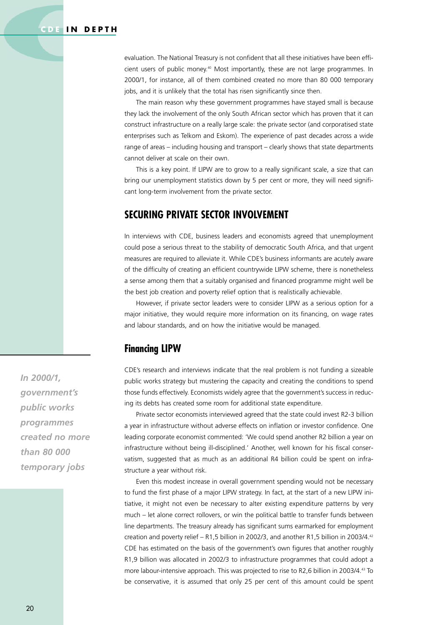evaluation. The National Treasury is not confident that all these initiatives have been efficient users of public money.40 Most importantly, these are not large programmes. In 2000/1, for instance, all of them combined created no more than 80 000 temporary jobs, and it is unlikely that the total has risen significantly since then.

The main reason why these government programmes have stayed small is because they lack the involvement of the only South African sector which has proven that it can construct infrastructure on a really large scale: the private sector (and corporatised state enterprises such as Telkom and Eskom). The experience of past decades across a wide range of areas – including housing and transport – clearly shows that state departments cannot deliver at scale on their own.

This is a key point. If LIPW are to grow to a really significant scale, a size that can bring our unemployment statistics down by 5 per cent or more, they will need significant long-term involvement from the private sector.

#### **SECURING PRIVATE SECTOR INVOLVEMENT**

In interviews with CDE, business leaders and economists agreed that unemployment could pose a serious threat to the stability of democratic South Africa, and that urgent measures are required to alleviate it. While CDE's business informants are acutely aware of the difficulty of creating an efficient countrywide LIPW scheme, there is nonetheless a sense among them that a suitably organised and financed programme might well be the best job creation and poverty relief option that is realistically achievable.

However, if private sector leaders were to consider LIPW as a serious option for a major initiative, they would require more information on its financing, on wage rates and labour standards, and on how the initiative would be managed.

#### **Financing LIPW**

CDE's research and interviews indicate that the real problem is not funding a sizeable public works strategy but mustering the capacity and creating the conditions to spend those funds effectively. Economists widely agree that the government's success in reducing its debts has created some room for additional state expenditure.

Private sector economists interviewed agreed that the state could invest R2-3 billion a year in infrastructure without adverse effects on inflation or investor confidence. One leading corporate economist commented: 'We could spend another R2 billion a year on infrastructure without being ill-disciplined.' Another, well known for his fiscal conservatism, suggested that as much as an additional R4 billion could be spent on infrastructure a year without risk.

Even this modest increase in overall government spending would not be necessary to fund the first phase of a major LIPW strategy. In fact, at the start of a new LIPW initiative, it might not even be necessary to alter existing expenditure patterns by very much – let alone correct rollovers, or win the political battle to transfer funds between line departments. The treasury already has significant sums earmarked for employment creation and poverty relief – R1,5 billion in 2002/3, and another R1,5 billion in 2003/4.42 CDE has estimated on the basis of the government's own figures that another roughly R1,9 billion was allocated in 2002/3 to infrastructure programmes that could adopt a more labour-intensive approach. This was projected to rise to R2,6 billion in 2003/4.43 To be conservative, it is assumed that only 25 per cent of this amount could be spent

*In 2000/1, government's public works programmes created no more than 80 000 temporary jobs*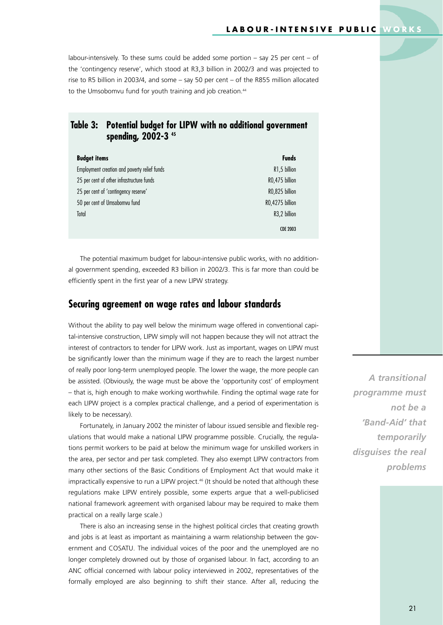labour-intensively. To these sums could be added some portion  $-$  say 25 per cent  $-$  of the 'contingency reserve', which stood at R3,3 billion in 2002/3 and was projected to rise to R5 billion in 2003/4, and some – say 50 per cent – of the R855 million allocated to the Umsobomvu fund for youth training and job creation.<sup>44</sup>

#### **Table 3: Potential budget for LIPW with no additional government spending, 2002-3 45**

| <b>Budget items</b>                          | <b>Funds</b>     |
|----------------------------------------------|------------------|
| Employment creation and poverty relief funds | R1,5 billion     |
| 25 per cent of other infrastructure funds    | RO, 475 billion  |
| 25 per cent of 'contingency reserve'         | RO,825 billion   |
| 50 per cent of Umsobomvu fund                | RO, 4275 billion |
| Total                                        | R3,2 billion     |
|                                              | <b>CDE 2003</b>  |

The potential maximum budget for labour-intensive public works, with no additional government spending, exceeded R3 billion in 2002/3. This is far more than could be efficiently spent in the first year of a new LIPW strategy.

#### **Securing agreement on wage rates and labour standards**

Without the ability to pay well below the minimum wage offered in conventional capital-intensive construction, LIPW simply will not happen because they will not attract the interest of contractors to tender for LIPW work. Just as important, wages on LIPW must be significantly lower than the minimum wage if they are to reach the largest number of really poor long-term unemployed people. The lower the wage, the more people can be assisted. (Obviously, the wage must be above the 'opportunity cost' of employment – that is, high enough to make working worthwhile. Finding the optimal wage rate for each LIPW project is a complex practical challenge, and a period of experimentation is likely to be necessary).

Fortunately, in January 2002 the minister of labour issued sensible and flexible regulations that would make a national LIPW programme possible. Crucially, the regulations permit workers to be paid at below the minimum wage for unskilled workers in the area, per sector and per task completed. They also exempt LIPW contractors from many other sections of the Basic Conditions of Employment Act that would make it impractically expensive to run a LIPW project.<sup>46</sup> (It should be noted that although these regulations make LIPW entirely possible, some experts argue that a well-publicised national framework agreement with organised labour may be required to make them practical on a really large scale.)

There is also an increasing sense in the highest political circles that creating growth and jobs is at least as important as maintaining a warm relationship between the government and COSATU. The individual voices of the poor and the unemployed are no longer completely drowned out by those of organised labour. In fact, according to an ANC official concerned with labour policy interviewed in 2002, representatives of the formally employed are also beginning to shift their stance. After all, reducing the

*A transitional programme must not be a 'Band-Aid' that temporarily disguises the real problems*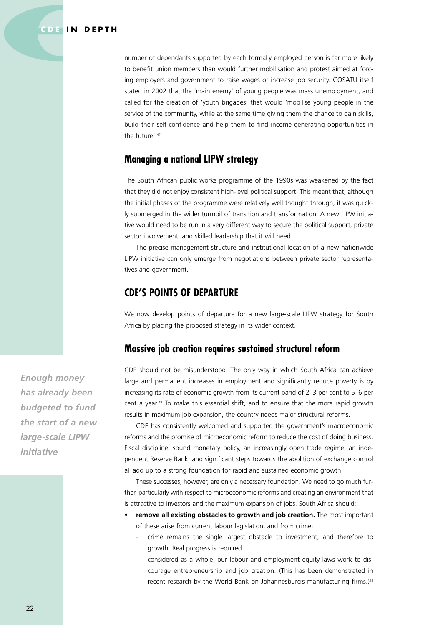number of dependants supported by each formally employed person is far more likely to benefit union members than would further mobilisation and protest aimed at forcing employers and government to raise wages or increase job security. COSATU itself stated in 2002 that the 'main enemy' of young people was mass unemployment, and called for the creation of 'youth brigades' that would 'mobilise young people in the service of the community, while at the same time giving them the chance to gain skills, build their self-confidence and help them to find income-generating opportunities in the future'. 47

#### **Managing a national LIPW strategy**

The South African public works programme of the 1990s was weakened by the fact that they did not enjoy consistent high-level political support. This meant that, although the initial phases of the programme were relatively well thought through, it was quickly submerged in the wider turmoil of transition and transformation. A new LIPW initiative would need to be run in a very different way to secure the political support, private sector involvement, and skilled leadership that it will need.

The precise management structure and institutional location of a new nationwide LIPW initiative can only emerge from negotiations between private sector representatives and government.

### **CDE'S POINTS OF DEPARTURE**

We now develop points of departure for a new large-scale LIPW strategy for South Africa by placing the proposed strategy in its wider context.

#### **Massive job creation requires sustained structural reform**

CDE should not be misunderstood. The only way in which South Africa can achieve large and permanent increases in employment and significantly reduce poverty is by increasing its rate of economic growth from its current band of 2–3 per cent to 5–6 per cent a year.48 To make this essential shift, and to ensure that the more rapid growth results in maximum job expansion, the country needs major structural reforms.

CDE has consistently welcomed and supported the government's macroeconomic reforms and the promise of microeconomic reform to reduce the cost of doing business. Fiscal discipline, sound monetary policy, an increasingly open trade regime, an independent Reserve Bank, and significant steps towards the abolition of exchange control all add up to a strong foundation for rapid and sustained economic growth.

These successes, however, are only a necessary foundation. We need to go much further, particularly with respect to microeconomic reforms and creating an environment that is attractive to investors and the maximum expansion of jobs. South Africa should:

- **• remove all existing obstacles to growth and job creation.** The most important of these arise from current labour legislation, and from crime:
	- crime remains the single largest obstacle to investment, and therefore to growth. Real progress is required.
	- considered as a whole, our labour and employment equity laws work to discourage entrepreneurship and job creation. (This has been demonstrated in recent research by the World Bank on Johannesburg's manufacturing firms.)<sup>49</sup>

*Enough money has already been budgeted to fund the start of a new large-scale LIPW initiative*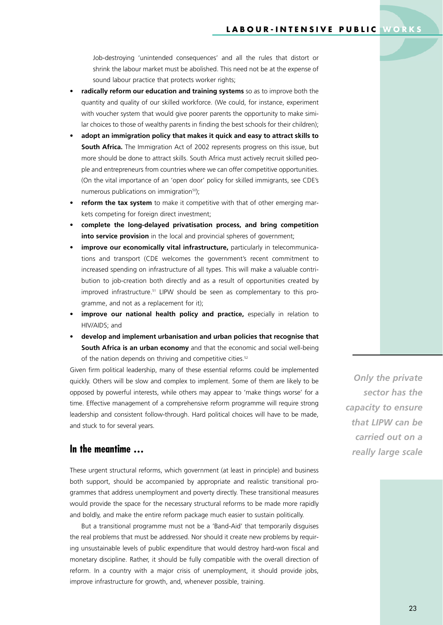Job-destroying 'unintended consequences' and all the rules that distort or shrink the labour market must be abolished. This need not be at the expense of sound labour practice that protects worker rights;

- **• radically reform our education and training systems** so as to improve both the quantity and quality of our skilled workforce. (We could, for instance, experiment with voucher system that would give poorer parents the opportunity to make similar choices to those of wealthy parents in finding the best schools for their children);
- **• adopt an immigration policy that makes it quick and easy to attract skills to South Africa.** The Immigration Act of 2002 represents progress on this issue, but more should be done to attract skills. South Africa must actively recruit skilled people and entrepreneurs from countries where we can offer competitive opportunities. (On the vital importance of an 'open door' policy for skilled immigrants, see CDE's numerous publications on immigration<sup>50</sup>);
- **• reform the tax system** to make it competitive with that of other emerging markets competing for foreign direct investment;
- **• complete the long-delayed privatisation process, and bring competition into service provision** in the local and provincial spheres of government;
- **• improve our economically vital infrastructure,** particularly in telecommunications and transport (CDE welcomes the government's recent commitment to increased spending on infrastructure of all types. This will make a valuable contribution to job-creation both directly and as a result of opportunities created by improved infrastructure.<sup>51</sup> LIPW should be seen as complementary to this programme, and not as a replacement for it);
- **improve our national health policy and practice, especially in relation to** HIV/AIDS; and
- **• develop and implement urbanisation and urban policies that recognise that South Africa is an urban economy** and that the economic and social well-being of the nation depends on thriving and competitive cities.<sup>52</sup>

Given firm political leadership, many of these essential reforms could be implemented quickly. Others will be slow and complex to implement. Some of them are likely to be opposed by powerful interests, while others may appear to 'make things worse' for a time. Effective management of a comprehensive reform programme will require strong leadership and consistent follow-through. Hard political choices will have to be made, and stuck to for several years.

#### **In the meantime …**

These urgent structural reforms, which government (at least in principle) and business both support, should be accompanied by appropriate and realistic transitional programmes that address unemployment and poverty directly. These transitional measures would provide the space for the necessary structural reforms to be made more rapidly and boldly, and make the entire reform package much easier to sustain politically.

But a transitional programme must not be a 'Band-Aid' that temporarily disguises the real problems that must be addressed. Nor should it create new problems by requiring unsustainable levels of public expenditure that would destroy hard-won fiscal and monetary discipline. Rather, it should be fully compatible with the overall direction of reform. In a country with a major crisis of unemployment, it should provide jobs, improve infrastructure for growth, and, whenever possible, training.

*Only the private sector has the capacity to ensure that LIPW can be carried out on a really large scale*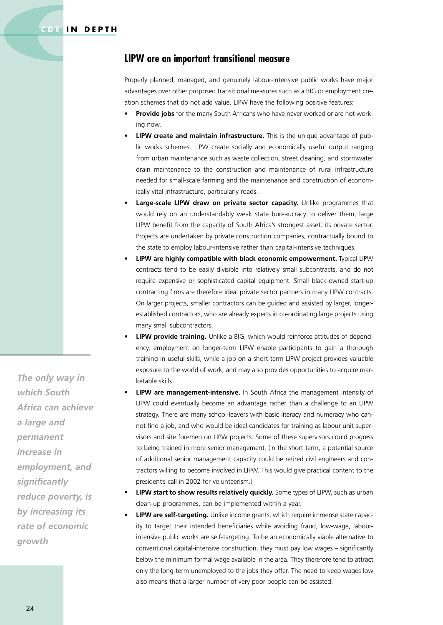#### **LIPW are an important transitional measure**

Properly planned, managed, and genuinely labour-intensive public works have major advantages over other proposed transitional measures such as a BIG or employment creation schemes that do not add value. LIPW have the following positive features:

- **Provide jobs** for the many South Africans who have never worked or are not working now.
- **• LIPW create and maintain infrastructure.** This is the unique advantage of public works schemes. LIPW create socially and economically useful output ranging from urban maintenance such as waste collection, street cleaning, and stormwater drain maintenance to the construction and maintenance of rural infrastructure needed for small-scale farming and the maintenance and construction of economically vital infrastructure, particularly roads.
- **Large-scale LIPW draw on private sector capacity.** Unlike programmes that would rely on an understandably weak state bureaucracy to deliver them, large LIPW benefit from the capacity of South Africa's strongest asset: its private sector. Projects are undertaken by private construction companies, contractually bound to the state to employ labour-intensive rather than capital-intensive techniques.
- **• LIPW are highly compatible with black economic empowerment.** Typical LIPW contracts tend to be easily divisible into relatively small subcontracts, and do not require expensive or sophisticated capital equipment. Small black-owned start-up contracting firms are therefore ideal private sector partners in many LIPW contracts. On larger projects, smaller contractors can be guided and assisted by larger, longerestablished contractors, who are already experts in co-ordinating large projects using many small subcontractors.
- **LIPW provide training.** Unlike a BIG, which would reinforce attitudes of dependency, employment on longer-term LIPW enable participants to gain a thorough training in useful skills, while a job on a short-term LIPW project provides valuable exposure to the world of work, and may also provides opportunities to acquire marketable skills.
- **• LIPW are management-intensive.** In South Africa the management intensity of LIPW could eventually become an advantage rather than a challenge to an LIPW strategy. There are many school-leavers with basic literacy and numeracy who cannot find a job, and who would be ideal candidates for training as labour unit supervisors and site foremen on LIPW projects. Some of these supervisors could progress to being trained in more senior management. (In the short term, a potential source of additional senior management capacity could be retired civil engineers and contractors willing to become involved in LIPW. This would give practical content to the president's call in 2002 for volunteerism.)
- **• LIPW start to show results relatively quickly.** Some types of LIPW, such as urban clean-up programmes, can be implemented within a year.
- **• LIPW are self-targeting.** Unlike income grants, which require immense state capacity to target their intended beneficiaries while avoiding fraud, low-wage, labourintensive public works are self-targeting. To be an economically viable alternative to conventional capital-intensive construction, they must pay low wages – significantly below the minimum formal wage available in the area. They therefore tend to attract only the long-term unemployed to the jobs they offer. The need to keep wages low also means that a larger number of very poor people can be assisted.

*The only way in which South Africa can achieve a large and permanent increase in employment, and significantly reduce poverty, is by increasing its rate of economic growth*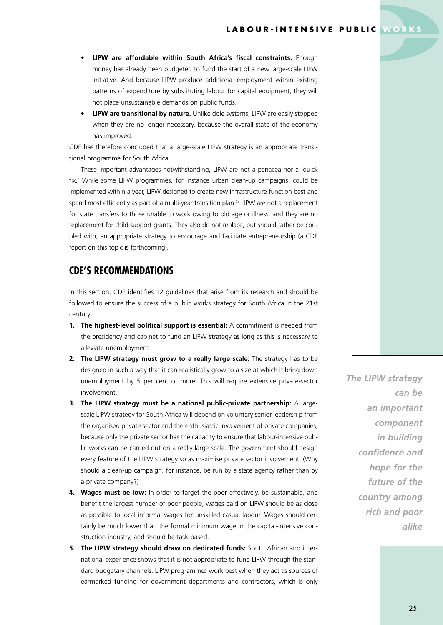- **• LIPW are affordable within South Africa's fiscal constraints.** Enough money has already been budgeted to fund the start of a new large-scale LIPW initiative. And because LIPW produce additional employment within existing patterns of expenditure by substituting labour for capital equipment, they will not place unsustainable demands on public funds.
- **• LIPW are transitional by nature.** Unlike dole systems, LIPW are easily stopped when they are no longer necessary, because the overall state of the economy has improved.

CDE has therefore concluded that a large-scale LIPW strategy is an appropriate transitional programme for South Africa.

These important advantages notwithstanding, LIPW are not a panacea nor a 'quick fix.' While some LIPW programmes, for instance urban clean-up campaigns, could be implemented within a year, LIPW designed to create new infrastructure function best and spend most efficiently as part of a multi-year transition plan.<sup>53</sup> LIPW are not a replacement for state transfers to those unable to work owing to old age or illness, and they are no replacement for child support grants. They also do not replace, but should rather be coupled with, an appropriate strategy to encourage and facilitate entrepreneurship (a CDE report on this topic is forthcoming).

## **CDE'S RECOMMENDATIONS**

In this section, CDE identifies 12 guidelines that arise from its research and should be followed to ensure the success of a public works strategy for South Africa in the 21st century.

- **1. The highest-level political support is essential:** A commitment is needed from the presidency and cabinet to fund an LIPW strategy as long as this is necessary to alleviate unemployment.
- **2. The LIPW strategy must grow to a really large scale:** The strategy has to be designed in such a way that it can realistically grow to a size at which it bring down unemployment by 5 per cent or more. This will require extensive private-sector involvement.
- **3. The LIPW strategy must be a national public-private partnership:** A largescale LIPW strategy for South Africa will depend on voluntary senior leadership from the organised private sector and the enthusiastic involvement of private companies, because only the private sector has the capacity to ensure that labour-intensive public works can be carried out on a really large scale. The government should design every feature of the LIPW strategy so as maximise private sector involvement. (Why should a clean-up campaign, for instance, be run by a state agency rather than by a private company?)
- **4. Wages must be low:** In order to target the poor effectively, be sustainable, and benefit the largest number of poor people, wages paid on LIPW should be as close as possible to local informal wages for unskilled casual labour. Wages should certainly be much lower than the formal minimum wage in the capital-intensive construction industry, and should be task-based.
- **5. The LIPW strategy should draw on dedicated funds:** South African and international experience shows that it is not appropriate to fund LIPW through the standard budgetary channels. LIPW programmes work best when they act as sources of earmarked funding for government departments and contractors, which is only

*The LIPW strategy can be an important component in building confidence and hope for the future of the country among rich and poor alike*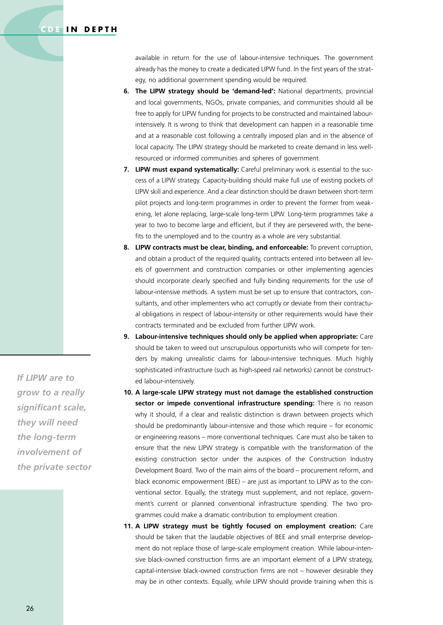#### **CDE IN DEPTH**

available in return for the use of labour-intensive techniques. The government already has the money to create a dedicated LIPW fund. In the first years of the strategy, no additional government spending would be required.

- **6. The LIPW strategy should be 'demand-led':** National departments, provincial and local governments, NGOs, private companies, and communities should all be free to apply for LIPW funding for projects to be constructed and maintained labourintensively. It is wrong to think that development can happen in a reasonable time and at a reasonable cost following a centrally imposed plan and in the absence of local capacity. The LIPW strategy should be marketed to create demand in less wellresourced or informed communities and spheres of government.
- **7. LIPW must expand systematically:** Careful preliminary work is essential to the success of a LIPW strategy. Capacity-building should make full use of existing pockets of LIPW skill and experience. And a clear distinction should be drawn between short-term pilot projects and long-term programmes in order to prevent the former from weakening, let alone replacing, large-scale long-term LIPW. Long-term programmes take a year to two to become large and efficient, but if they are persevered with, the benefits to the unemployed and to the country as a whole are very substantial.
- **8. LIPW contracts must be clear, binding, and enforceable:** To prevent corruption, and obtain a product of the required quality, contracts entered into between all levels of government and construction companies or other implementing agencies should incorporate clearly specified and fully binding requirements for the use of labour-intensive methods. A system must be set up to ensure that contractors, consultants, and other implementers who act corruptly or deviate from their contractual obligations in respect of labour-intensity or other requirements would have their contracts terminated and be excluded from further LIPW work.
- **9. Labour-intensive techniques should only be applied when appropriate:** Care should be taken to weed out unscrupulous opportunists who will compete for tenders by making unrealistic claims for labour-intensive techniques. Much highly sophisticated infrastructure (such as high-speed rail networks) cannot be constructed labour-intensively.
- **10. A large-scale LIPW strategy must not damage the established construction sector or impede conventional infrastructure spending:** There is no reason why it should, if a clear and realistic distinction is drawn between projects which should be predominantly labour-intensive and those which require – for economic or engineering reasons – more conventional techniques. Care must also be taken to ensure that the new LIPW strategy is compatible with the transformation of the existing construction sector under the auspices of the Construction Industry Development Board. Two of the main aims of the board – procurement reform, and black economic empowerment (BEE) – are just as important to LIPW as to the conventional sector. Equally, the strategy must supplement, and not replace, government's current or planned conventional infrastructure spending. The two programmes could make a dramatic contribution to employment creation.
- **11. A LIPW strategy must be tightly focused on employment creation:** Care should be taken that the laudable objectives of BEE and small enterprise development do not replace those of large-scale employment creation. While labour-intensive black-owned construction firms are an important element of a LIPW strategy, capital-intensive black-owned construction firms are not – however desirable they may be in other contexts. Equally, while LIPW should provide training when this is

*If LIPW are to grow to a really significant scale, they will need the long-term involvement of the private sector*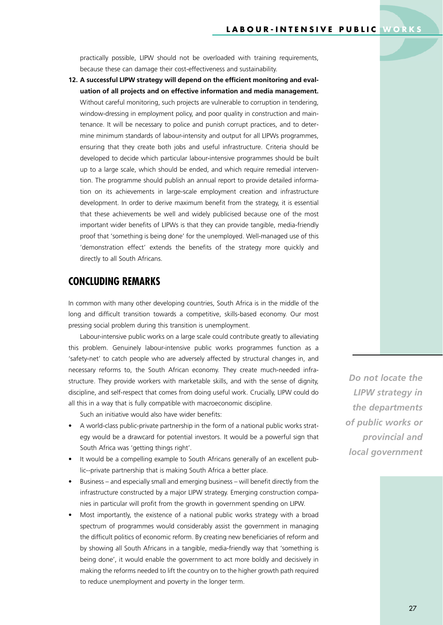practically possible, LIPW should not be overloaded with training requirements, because these can damage their cost-effectiveness and sustainability.

**12. A successful LIPW strategy will depend on the efficient monitoring and evaluation of all projects and on effective information and media management.** Without careful monitoring, such projects are vulnerable to corruption in tendering, window-dressing in employment policy, and poor quality in construction and maintenance. It will be necessary to police and punish corrupt practices, and to determine minimum standards of labour-intensity and output for all LIPWs programmes, ensuring that they create both jobs and useful infrastructure. Criteria should be developed to decide which particular labour-intensive programmes should be built up to a large scale, which should be ended, and which require remedial intervention. The programme should publish an annual report to provide detailed information on its achievements in large-scale employment creation and infrastructure development. In order to derive maximum benefit from the strategy, it is essential that these achievements be well and widely publicised because one of the most important wider benefits of LIPWs is that they can provide tangible, media-friendly proof that 'something is being done' for the unemployed. Well-managed use of this 'demonstration effect' extends the benefits of the strategy more quickly and directly to all South Africans.

#### **CONCLUDING REMARKS**

In common with many other developing countries, South Africa is in the middle of the long and difficult transition towards a competitive, skills-based economy. Our most pressing social problem during this transition is unemployment.

Labour-intensive public works on a large scale could contribute greatly to alleviating this problem. Genuinely labour-intensive public works programmes function as a 'safety-net' to catch people who are adversely affected by structural changes in, and necessary reforms to, the South African economy. They create much-needed infrastructure. They provide workers with marketable skills, and with the sense of dignity, discipline, and self-respect that comes from doing useful work. Crucially, LIPW could do all this in a way that is fully compatible with macroeconomic discipline.

Such an initiative would also have wider benefits:

- A world-class public-private partnership in the form of a national public works strategy would be a drawcard for potential investors. It would be a powerful sign that South Africa was 'getting things right'.
- It would be a compelling example to South Africans generally of an excellent public--private partnership that is making South Africa a better place.
- Business and especially small and emerging business will benefit directly from the infrastructure constructed by a major LIPW strategy. Emerging construction companies in particular will profit from the growth in government spending on LIPW.
- Most importantly, the existence of a national public works strategy with a broad spectrum of programmes would considerably assist the government in managing the difficult politics of economic reform. By creating new beneficiaries of reform and by showing all South Africans in a tangible, media-friendly way that 'something is being done', it would enable the government to act more boldly and decisively in making the reforms needed to lift the country on to the higher growth path required to reduce unemployment and poverty in the longer term.

*Do not locate the LIPW strategy in the departments of public works or provincial and local government*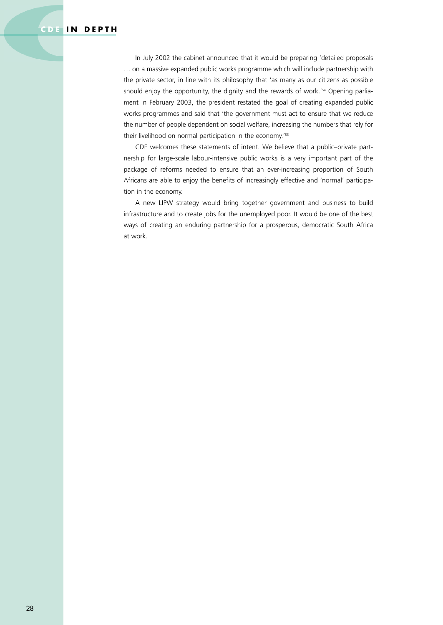In July 2002 the cabinet announced that it would be preparing 'detailed proposals … on a massive expanded public works programme which will include partnership with the private sector, in line with its philosophy that 'as many as our citizens as possible should enjoy the opportunity, the dignity and the rewards of work.' <sup>54</sup> Opening parliament in February 2003, the president restated the goal of creating expanded public works programmes and said that 'the government must act to ensure that we reduce the number of people dependent on social welfare, increasing the numbers that rely for their livelihood on normal participation in the economy.' 55

CDE welcomes these statements of intent. We believe that a public–private partnership for large-scale labour-intensive public works is a very important part of the package of reforms needed to ensure that an ever-increasing proportion of South Africans are able to enjoy the benefits of increasingly effective and 'normal' participation in the economy.

A new LIPW strategy would bring together government and business to build infrastructure and to create jobs for the unemployed poor. It would be one of the best ways of creating an enduring partnership for a prosperous, democratic South Africa at work.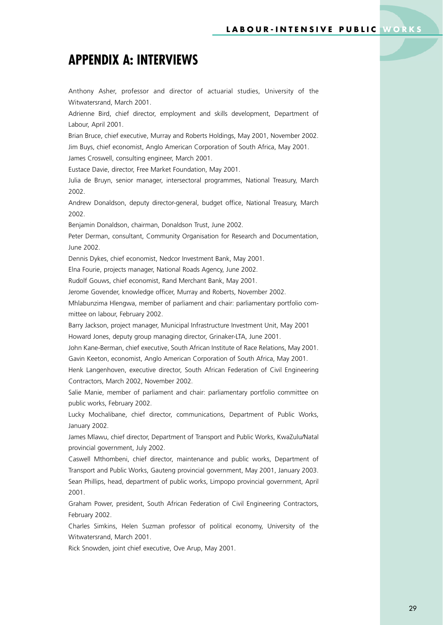# **APPENDIX A: INTERVIEWS**

Anthony Asher, professor and director of actuarial studies, University of the Witwatersrand, March 2001.

Adrienne Bird, chief director, employment and skills development, Department of Labour, April 2001.

Brian Bruce, chief executive, Murray and Roberts Holdings, May 2001, November 2002. Jim Buys, chief economist, Anglo American Corporation of South Africa, May 2001.

James Croswell, consulting engineer, March 2001.

Eustace Davie, director, Free Market Foundation, May 2001.

Julia de Bruyn, senior manager, intersectoral programmes, National Treasury, March 2002.

Andrew Donaldson, deputy director-general, budget office, National Treasury, March 2002.

Benjamin Donaldson, chairman, Donaldson Trust, June 2002.

Peter Derman, consultant, Community Organisation for Research and Documentation, June 2002.

Dennis Dykes, chief economist, Nedcor Investment Bank, May 2001.

Elna Fourie, projects manager, National Roads Agency, June 2002.

Rudolf Gouws, chief economist, Rand Merchant Bank, May 2001.

Jerome Govender, knowledge officer, Murray and Roberts, November 2002.

Mhlabunzima Hlengwa, member of parliament and chair: parliamentary portfolio committee on labour, February 2002.

Barry Jackson, project manager, Municipal Infrastructure Investment Unit, May 2001 Howard Jones, deputy group managing director, Grinaker-LTA, June 2001.

John Kane-Berman, chief executive, South African Institute of Race Relations, May 2001. Gavin Keeton, economist, Anglo American Corporation of South Africa, May 2001.

Henk Langenhoven, executive director, South African Federation of Civil Engineering Contractors, March 2002, November 2002.

Salie Manie, member of parliament and chair: parliamentary portfolio committee on public works, February 2002.

Lucky Mochalibane, chief director, communications, Department of Public Works, January 2002.

James Mlawu, chief director, Department of Transport and Public Works, KwaZulu/Natal provincial government, July 2002.

Caswell Mthombeni, chief director, maintenance and public works, Department of Transport and Public Works, Gauteng provincial government, May 2001, January 2003. Sean Phillips, head, department of public works, Limpopo provincial government, April 2001.

Graham Power, president, South African Federation of Civil Engineering Contractors, February 2002.

Charles Simkins, Helen Suzman professor of political economy, University of the Witwatersrand, March 2001.

Rick Snowden, joint chief executive, Ove Arup, May 2001.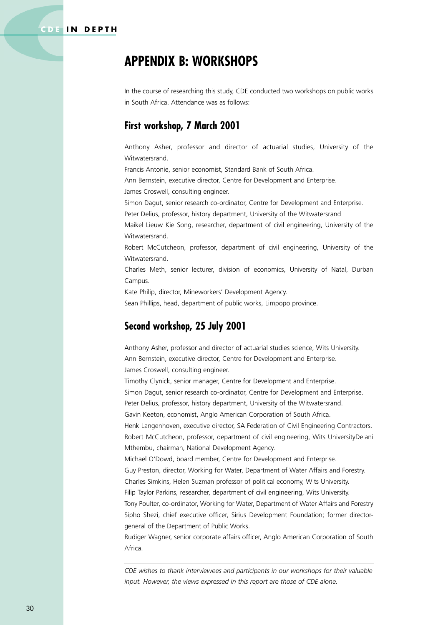#### **CDE IN DEPTH**

# **APPENDIX B: WORKSHOPS**

In the course of researching this study, CDE conducted two workshops on public works in South Africa. Attendance was as follows:

## **First workshop, 7 March 2001**

Anthony Asher, professor and director of actuarial studies, University of the Witwatersrand.

Francis Antonie, senior economist, Standard Bank of South Africa. Ann Bernstein, executive director, Centre for Development and Enterprise. James Croswell, consulting engineer. Simon Dagut, senior research co-ordinator, Centre for Development and Enterprise. Peter Delius, professor, history department, University of the Witwatersrand Maikel Lieuw Kie Song, researcher, department of civil engineering, University of the Witwatersrand. Robert McCutcheon, professor, department of civil engineering, University of the Witwatersrand. Charles Meth, senior lecturer, division of economics, University of Natal, Durban Campus.

Kate Philip, director, Mineworkers' Development Agency.

Sean Phillips, head, department of public works, Limpopo province.

#### **Second workshop, 25 July 2001**

Anthony Asher, professor and director of actuarial studies science, Wits University. Ann Bernstein, executive director, Centre for Development and Enterprise. James Croswell, consulting engineer. Timothy Clynick, senior manager, Centre for Development and Enterprise. Simon Dagut, senior research co-ordinator, Centre for Development and Enterprise. Peter Delius, professor, history department, University of the Witwatersrand. Gavin Keeton, economist, Anglo American Corporation of South Africa. Henk Langenhoven, executive director, SA Federation of Civil Engineering Contractors. Robert McCutcheon, professor, department of civil engineering, Wits UniversityDelani Mthembu, chairman, National Development Agency. Michael O'Dowd, board member, Centre for Development and Enterprise. Guy Preston, director, Working for Water, Department of Water Affairs and Forestry. Charles Simkins, Helen Suzman professor of political economy, Wits University. Filip Taylor Parkins, researcher, department of civil engineering, Wits University. Tony Poulter, co-ordinator, Working for Water, Department of Water Affairs and Forestry Sipho Shezi, chief executive officer, Sirius Development Foundation; former director-

general of the Department of Public Works.

Rudiger Wagner, senior corporate affairs officer, Anglo American Corporation of South Africa.

*CDE wishes to thank interviewees and participants in our workshops for their valuable input. However, the views expressed in this report are those of CDE alone.*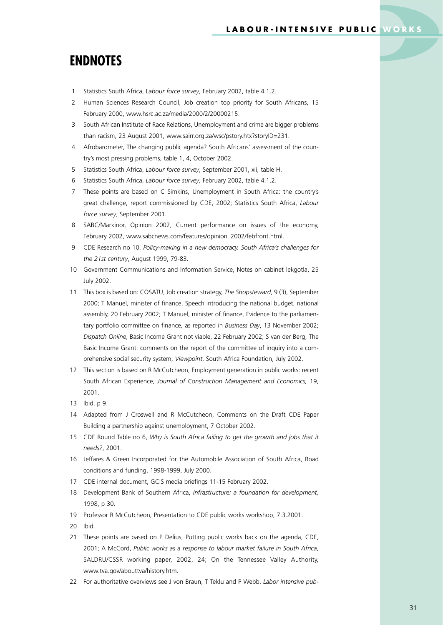# **ENDNOTES**

- 1 Statistics South Africa, L*abour force survey*, February 2002, table 4.1.2.
- 2 Human Sciences Research Council, Job creation top priority for South Africans, 15 February 2000, www.hsrc.ac.za/media/2000/2/20000215.
- 3 South African Institute of Race Relations, Unemployment and crime are bigger problems than racism, 23 August 2001, www.sairr.org.za/wsc/pstory.htx?storyID=231.
- 4 Afrobarometer, The changing public agenda? South Africans' assessment of the country's most pressing problems, table 1, 4, October 2002.
- 5 Statistics South Africa, *Labour force survey*, September 2001, xii, table H.
- 6 Statistics South Africa, *Labour force survey*, February 2002, table 4.1.2.
- 7 These points are based on C Simkins, Unemployment in South Africa: the country's great challenge, report commissioned by CDE, 2002; Statistics South Africa, *Labour force survey*, September 2001.
- 8 SABC/Markinor, Opinion 2002, Current performance on issues of the economy, February 2002, www.sabcnews.com/features/opinion\_2002/febfront.html.
- 9 CDE Research no 10, *Policy-making in a new democracy. South Africa's challenges for the 21st century*, August 1999, 79-83.
- 10 Government Communications and Information Service, Notes on cabinet lekgotla, 25 July 2002.
- 11 This box is based on: COSATU, Job creation strategy, *The Shopsteward*, 9 (3), September 2000; T Manuel, minister of finance, Speech introducing the national budget, national assembly, 20 February 2002; T Manuel, minister of finance, Evidence to the parliamentary portfolio committee on finance, as reported in *Business Day*, 13 November 2002; *Dispatch Online*, Basic Income Grant not viable, 22 February 2002; S van der Berg, The Basic Income Grant: comments on the report of the committee of inquiry into a comprehensive social security system, *Viewpoint*, South Africa Foundation, July 2002.
- 12 This section is based on R McCutcheon, Employment generation in public works: recent South African Experience, *Journal of Construction Management and Economics,* 19, 2001.
- 13 Ibid, p 9.
- 14 Adapted from J Croswell and R McCutcheon, Comments on the Draft CDE Paper Building a partnership against unemployment, 7 October 2002.
- 15 CDE Round Table no 6, *Why is South Africa failing to get the growth and jobs that it needs?*, 2001.
- 16 Jeffares & Green Incorporated for the Automobile Association of South Africa, Road conditions and funding, 1998-1999, July 2000.
- 17 CDE internal document, GCIS media briefings 11-15 February 2002.
- 18 Development Bank of Southern Africa, *Infrastructure: a foundation for development,* 1998, p 30.
- 19 Professor R McCutcheon, Presentation to CDE public works workshop, 7.3.2001.
- 20 Ibid.
- 21 These points are based on P Delius, Putting public works back on the agenda, CDE, 2001; A McCord, *Public works as a response to labour market failure in South Africa*, SALDRU/CSSR working paper, 2002, 24; On the Tennessee Valley Authority, www.tva.gov/abouttva/history.htm.
- 22 For authoritative overviews see J von Braun, T Teklu and P Webb, *Labor intensive pub-*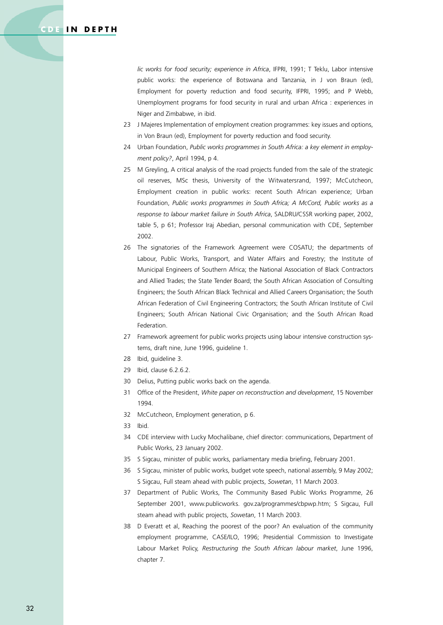#### **CDE IN DEPTH**

*lic works for food security; experience in Africa*, IFPRI, 1991; T Teklu, Labor intensive public works: the experience of Botswana and Tanzania, in J von Braun (ed), Employment for poverty reduction and food security, IFPRI, 1995; and P Webb, Unemployment programs for food security in rural and urban Africa : experiences in Niger and Zimbabwe, in ibid.

- 23 J Majeres Implementation of employment creation programmes: key issues and options, in Von Braun (ed), Employment for poverty reduction and food security.
- 24 Urban Foundation, *Public works programmes in South Africa: a key element in employment policy?*, April 1994, p 4.
- 25 M Greyling, A critical analysis of the road projects funded from the sale of the strategic oil reserves, MSc thesis, University of the Witwatersrand, 1997; McCutcheon, Employment creation in public works: recent South African experience; Urban Foundation, *Public works programmes in South Africa; A McCord, Public works as a response to labour market failure in South Africa*, SALDRU/CSSR working paper, 2002, table 5, p 61; Professor Iraj Abedian, personal communication with CDE, September 2002.
- 26 The signatories of the Framework Agreement were COSATU; the departments of Labour, Public Works, Transport, and Water Affairs and Forestry; the Institute of Municipal Engineers of Southern Africa; the National Association of Black Contractors and Allied Trades; the State Tender Board; the South African Association of Consulting Engineers; the South African Black Technical and Allied Careers Organisation; the South African Federation of Civil Engineering Contractors; the South African Institute of Civil Engineers; South African National Civic Organisation; and the South African Road Federation.
- 27 Framework agreement for public works projects using labour intensive construction systems, draft nine, June 1996, guideline 1.
- 28 Ibid, guideline 3.
- 29 Ibid, clause 6.2.6.2.
- 30 Delius, Putting public works back on the agenda.
- 31 Office of the President, *White paper on reconstruction and development*, 15 November 1994.
- 32 McCutcheon, Employment generation, p 6.
- 33 Ibid.
- 34 CDE interview with Lucky Mochalibane, chief director: communications, Department of Public Works, 23 January 2002.
- 35 S Sigcau, minister of public works, parliamentary media briefing, February 2001.
- 36 S Sigcau, minister of public works, budget vote speech, national assembly, 9 May 2002; S Sigcau, Full steam ahead with public projects, *Sowetan*, 11 March 2003.
- 37 Department of Public Works, The Community Based Public Works Programme, 26 September 2001, www.publicworks. gov.za/programmes/cbpwp.htm; S Sigcau, Full steam ahead with public projects, *Sowetan*, 11 March 2003.
- 38 D Everatt et al, Reaching the poorest of the poor? An evaluation of the community employment programme, CASE/ILO, 1996; Presidential Commission to Investigate Labour Market Policy, *Restructuring the South African labour market*, June 1996, chapter 7.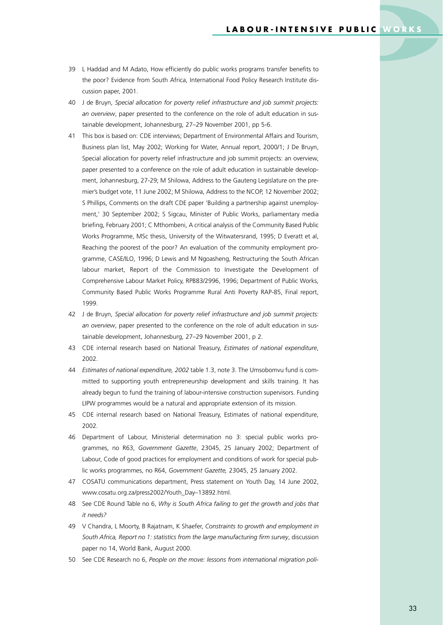- 39 L Haddad and M Adato, How efficiently do public works programs transfer benefits to the poor? Evidence from South Africa, International Food Policy Research Institute discussion paper, 2001.
- 40 J de Bruyn, *Special allocation for poverty relief infrastructure and job summit projects: an overview*, paper presented to the conference on the role of adult education in sustainable development, Johannesburg, 27–29 November 2001, pp 5-6.
- 41 This box is based on: CDE interviews; Department of Environmental Affairs and Tourism, Business plan list, May 2002; Working for Water, Annual report, 2000/1; J De Bruyn, Special allocation for poverty relief infrastructure and job summit projects: an overview, paper presented to a conference on the role of adult education in sustainable development, Johannesburg, 27-29; M Shilowa, Address to the Gauteng Legislature on the premier's budget vote, 11 June 2002; M Shilowa, Address to the NCOP, 12 November 2002; S Phillips, Comments on the draft CDE paper 'Building a partnership against unemployment,' 30 September 2002; S Sigcau, Minister of Public Works, parliamentary media briefing, February 2001; C Mthombeni, A critical analysis of the Community Based Public Works Programme, MSc thesis, University of the Witwatersrand, 1995; D Everatt et al, Reaching the poorest of the poor? An evaluation of the community employment programme, CASE/ILO, 1996; D Lewis and M Ngoasheng, Restructuring the South African labour market, Report of the Commission to Investigate the Development of Comprehensive Labour Market Policy, RPB83/2996, 1996; Department of Public Works, Community Based Public Works Programme Rural Anti Poverty RAP-85, Final report, 1999.
- 42 J de Bruyn, *Special allocation for poverty relief infrastructure and job summit projects: an overview*, paper presented to the conference on the role of adult education in sustainable development, Johannesburg, 27–29 November 2001, p 2.
- 43 CDE internal research based on National Treasury, *Estimates of national expenditure*, 2002.
- 44 *Estimates of national expenditure, 2002* table 1.3, note 3. The Umsobomvu fund is committed to supporting youth entrepreneurship development and skills training. It has already begun to fund the training of labour-intensive construction supervisors. Funding LIPW programmes would be a natural and appropriate extension of its mission.
- 45 CDE internal research based on National Treasury, Estimates of national expenditure, 2002.
- 46 Department of Labour, Ministerial determination no 3: special public works programmes, no R63, *Government Gazette*, 23045, 25 January 2002; Department of Labour, Code of good practices for employment and conditions of work for special public works programmes, no R64, *Government Gazette,* 23045, 25 January 2002.
- 47 COSATU communications department, Press statement on Youth Day, 14 June 2002, www.cosatu.org.za/press2002/Youth\_Day–13892.html.
- 48 See CDE Round Table no 6, *Why is South Africa failing to get the growth and jobs that it needs?*
- 49 V Chandra, L Moorty, B Rajatnam, K Shaefer, *Constraints to growth and employment in South Africa, Report no 1: statistics from the large manufacturing firm survey*, discussion paper no 14, World Bank, August 2000.
- 50 See CDE Research no 6, *People on the move: lessons from international migration poli-*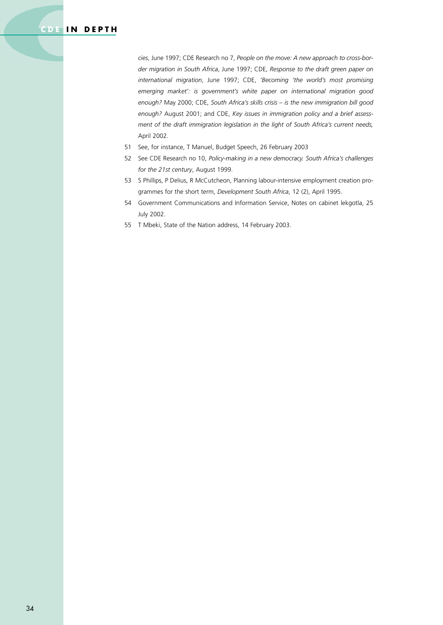#### **CDE IN DEPTH**

*cies*, June 1997; CDE Research no 7, *People on the move: A new approach to cross-border migration in South Africa*, June 1997; CDE, *Response to the draft green paper on international migration*, June 1997; CDE, *'Becoming 'the world's most promising emerging market': is government's white paper on international migration good enough?* May 2000; CDE, *South Africa's skills crisis – is the new immigration bill good enough?* August 2001; and CDE, *Key issues in immigration policy and a brief assessment of the draft immigration legislation in the light of South Africa's current needs,* April 2002.

- 51 See, for instance, T Manuel, Budget Speech, 26 February 2003
- 52 See CDE Research no 10, *Policy-making in a new democracy. South Africa's challenges for the 21st century*, August 1999.
- 53 S Phillips, P Delius, R McCutcheon, Planning labour-intensive employment creation programmes for the short term, *Development South Africa*, 12 (2), April 1995.
- 54 Government Communications and Information Service, Notes on cabinet lekgotla, 25 July 2002.
- 55 T Mbeki, State of the Nation address, 14 February 2003.